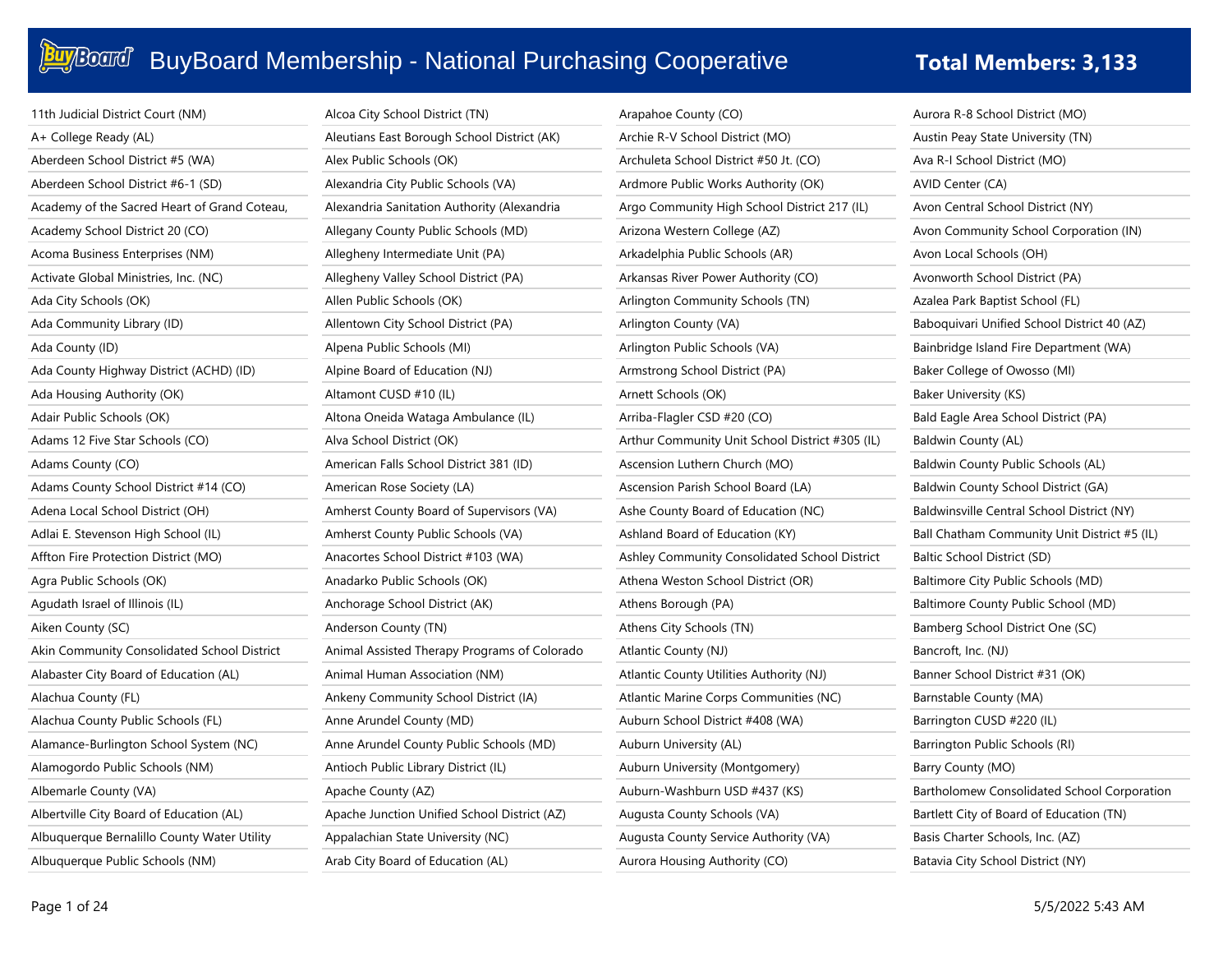| 11th Judicial District Court (NM)            | Alcoa City School District (TN)              | Arapahoe County (CO)                            | Aurora R-8 School District (MO)              |
|----------------------------------------------|----------------------------------------------|-------------------------------------------------|----------------------------------------------|
| A+ College Ready (AL)                        | Aleutians East Borough School District (AK)  | Archie R-V School District (MO)                 | Austin Peay State University (TN)            |
| Aberdeen School District #5 (WA)             | Alex Public Schools (OK)                     | Archuleta School District #50 Jt. (CO)          | Ava R-I School District (MO)                 |
| Aberdeen School District #6-1 (SD)           | Alexandria City Public Schools (VA)          | Ardmore Public Works Authority (OK)             | AVID Center (CA)                             |
| Academy of the Sacred Heart of Grand Coteau, | Alexandria Sanitation Authority (Alexandria  | Argo Community High School District 217 (IL)    | Avon Central School District (NY)            |
| Academy School District 20 (CO)              | Allegany County Public Schools (MD)          | Arizona Western College (AZ)                    | Avon Community School Corporation (IN)       |
| Acoma Business Enterprises (NM)              | Allegheny Intermediate Unit (PA)             | Arkadelphia Public Schools (AR)                 | Avon Local Schools (OH)                      |
| Activate Global Ministries, Inc. (NC)        | Allegheny Valley School District (PA)        | Arkansas River Power Authority (CO)             | Avonworth School District (PA)               |
| Ada City Schools (OK)                        | Allen Public Schools (OK)                    | Arlington Community Schools (TN)                | Azalea Park Baptist School (FL)              |
| Ada Community Library (ID)                   | Allentown City School District (PA)          | Arlington County (VA)                           | Baboquivari Unified School District 40 (AZ)  |
| Ada County (ID)                              | Alpena Public Schools (MI)                   | Arlington Public Schools (VA)                   | Bainbridge Island Fire Department (WA)       |
| Ada County Highway District (ACHD) (ID)      | Alpine Board of Education (NJ)               | Armstrong School District (PA)                  | Baker College of Owosso (MI)                 |
| Ada Housing Authority (OK)                   | Altamont CUSD #10 (IL)                       | Arnett Schools (OK)                             | Baker University (KS)                        |
| Adair Public Schools (OK)                    | Altona Oneida Wataga Ambulance (IL)          | Arriba-Flagler CSD #20 (CO)                     | Bald Eagle Area School District (PA)         |
| Adams 12 Five Star Schools (CO)              | Alva School District (OK)                    | Arthur Community Unit School District #305 (IL) | Baldwin County (AL)                          |
| Adams County (CO)                            | American Falls School District 381 (ID)      | Ascension Luthern Church (MO)                   | Baldwin County Public Schools (AL)           |
| Adams County School District #14 (CO)        | American Rose Society (LA)                   | Ascension Parish School Board (LA)              | Baldwin County School District (GA)          |
| Adena Local School District (OH)             | Amherst County Board of Supervisors (VA)     | Ashe County Board of Education (NC)             | Baldwinsville Central School District (NY)   |
| Adlai E. Stevenson High School (IL)          | Amherst County Public Schools (VA)           | Ashland Board of Education (KY)                 | Ball Chatham Community Unit District #5 (IL) |
| Affton Fire Protection District (MO)         | Anacortes School District #103 (WA)          | Ashley Community Consolidated School District   | Baltic School District (SD)                  |
| Agra Public Schools (OK)                     | Anadarko Public Schools (OK)                 | Athena Weston School District (OR)              | Baltimore City Public Schools (MD)           |
| Agudath Israel of Illinois (IL)              | Anchorage School District (AK)               | Athens Borough (PA)                             | Baltimore County Public School (MD)          |
| Aiken County (SC)                            | Anderson County (TN)                         | Athens City Schools (TN)                        | Bamberg School District One (SC)             |
| Akin Community Consolidated School District  | Animal Assisted Therapy Programs of Colorado | Atlantic County (NJ)                            | Bancroft, Inc. (NJ)                          |
| Alabaster City Board of Education (AL)       | Animal Human Association (NM)                | Atlantic County Utilities Authority (NJ)        | Banner School District #31 (OK)              |
| Alachua County (FL)                          | Ankeny Community School District (IA)        | Atlantic Marine Corps Communities (NC)          | Barnstable County (MA)                       |
| Alachua County Public Schools (FL)           | Anne Arundel County (MD)                     | Auburn School District #408 (WA)                | Barrington CUSD #220 (IL)                    |
| Alamance-Burlington School System (NC)       | Anne Arundel County Public Schools (MD)      | Auburn University (AL)                          | Barrington Public Schools (RI)               |
| Alamogordo Public Schools (NM)               | Antioch Public Library District (IL)         | Auburn University (Montgomery)                  | Barry County (MO)                            |
| Albemarle County (VA)                        | Apache County (AZ)                           | Auburn-Washburn USD #437 (KS)                   | Bartholomew Consolidated School Corporation  |
| Albertville City Board of Education (AL)     | Apache Junction Unified School District (AZ) | Augusta County Schools (VA)                     | Bartlett City of Board of Education (TN)     |
| Albuquerque Bernalillo County Water Utility  | Appalachian State University (NC)            | Augusta County Service Authority (VA)           | Basis Charter Schools, Inc. (AZ)             |
| Albuquerque Public Schools (NM)              | Arab City Board of Education (AL)            | Aurora Housing Authority (CO)                   | Batavia City School District (NY)            |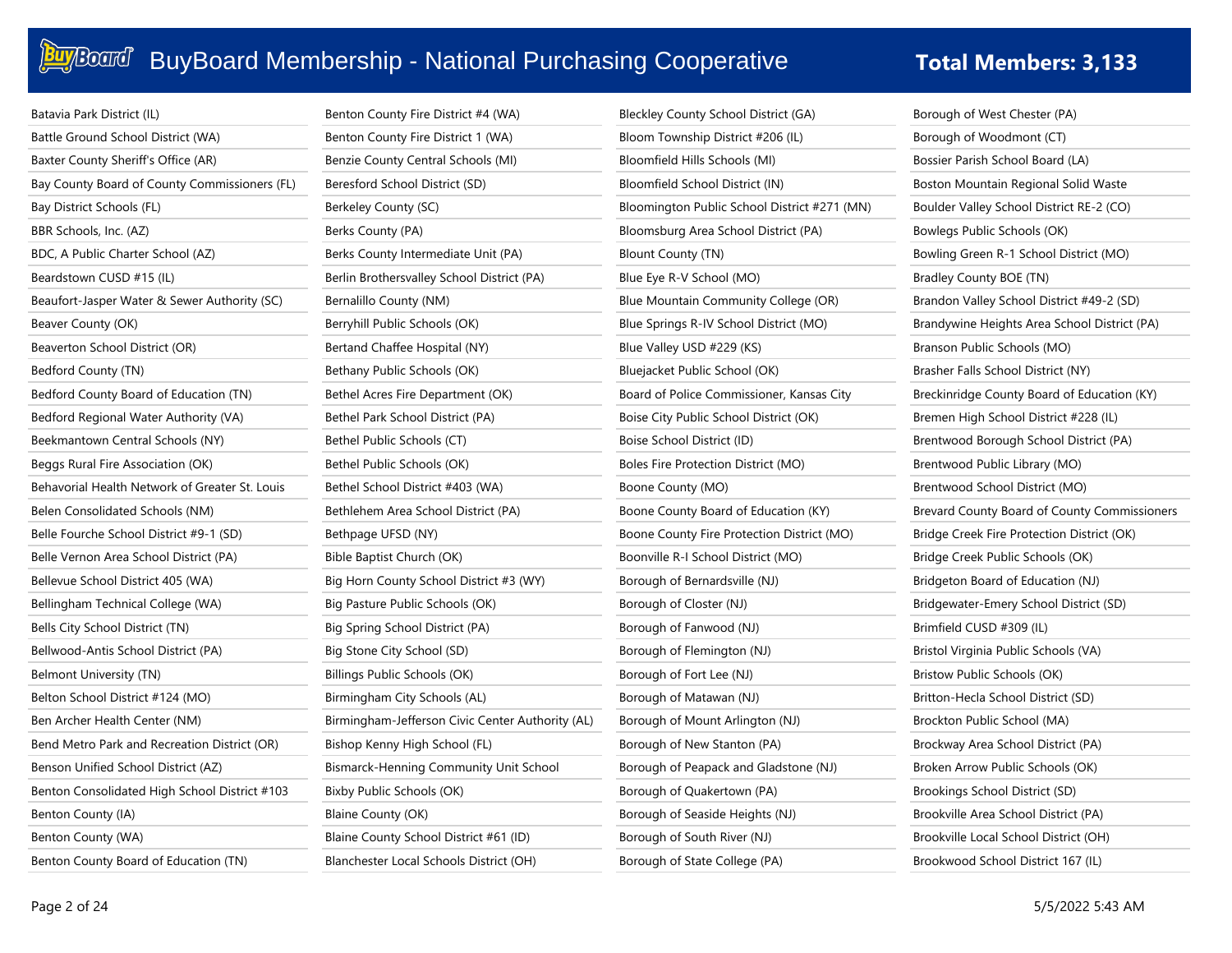| Batavia Park District (IL)                     | Benton County Fire District #4 (WA)              | Bleckley County School District (GA)         | Borough of West Chester (PA)                 |
|------------------------------------------------|--------------------------------------------------|----------------------------------------------|----------------------------------------------|
| Battle Ground School District (WA)             | Benton County Fire District 1 (WA)               | Bloom Township District #206 (IL)            | Borough of Woodmont (CT)                     |
| Baxter County Sheriff's Office (AR)            | Benzie County Central Schools (MI)               | Bloomfield Hills Schools (MI)                | Bossier Parish School Board (LA)             |
| Bay County Board of County Commissioners (FL)  | Beresford School District (SD)                   | Bloomfield School District (IN)              | Boston Mountain Regional Solid Waste         |
| Bay District Schools (FL)                      | Berkeley County (SC)                             | Bloomington Public School District #271 (MN) | Boulder Valley School District RE-2 (CO)     |
| BBR Schools, Inc. (AZ)                         | Berks County (PA)                                | Bloomsburg Area School District (PA)         | Bowlegs Public Schools (OK)                  |
| BDC, A Public Charter School (AZ)              | Berks County Intermediate Unit (PA)              | Blount County (TN)                           | Bowling Green R-1 School District (MO)       |
| Beardstown CUSD #15 (IL)                       | Berlin Brothersvalley School District (PA)       | Blue Eye R-V School (MO)                     | Bradley County BOE (TN)                      |
| Beaufort-Jasper Water & Sewer Authority (SC)   | Bernalillo County (NM)                           | Blue Mountain Community College (OR)         | Brandon Valley School District #49-2 (SD)    |
| Beaver County (OK)                             | Berryhill Public Schools (OK)                    | Blue Springs R-IV School District (MO)       | Brandywine Heights Area School District (PA) |
| Beaverton School District (OR)                 | Bertand Chaffee Hospital (NY)                    | Blue Valley USD #229 (KS)                    | Branson Public Schools (MO)                  |
| Bedford County (TN)                            | Bethany Public Schools (OK)                      | Bluejacket Public School (OK)                | Brasher Falls School District (NY)           |
| Bedford County Board of Education (TN)         | Bethel Acres Fire Department (OK)                | Board of Police Commissioner, Kansas City    | Breckinridge County Board of Education (KY)  |
| Bedford Regional Water Authority (VA)          | Bethel Park School District (PA)                 | Boise City Public School District (OK)       | Bremen High School District #228 (IL)        |
| Beekmantown Central Schools (NY)               | Bethel Public Schools (CT)                       | Boise School District (ID)                   | Brentwood Borough School District (PA)       |
| Beggs Rural Fire Association (OK)              | Bethel Public Schools (OK)                       | Boles Fire Protection District (MO)          | Brentwood Public Library (MO)                |
| Behavorial Health Network of Greater St. Louis | Bethel School District #403 (WA)                 | Boone County (MO)                            | Brentwood School District (MO)               |
| Belen Consolidated Schools (NM)                | Bethlehem Area School District (PA)              | Boone County Board of Education (KY)         | Brevard County Board of County Commissioners |
| Belle Fourche School District #9-1 (SD)        | Bethpage UFSD (NY)                               | Boone County Fire Protection District (MO)   | Bridge Creek Fire Protection District (OK)   |
| Belle Vernon Area School District (PA)         | Bible Baptist Church (OK)                        | Boonville R-I School District (MO)           | Bridge Creek Public Schools (OK)             |
| Bellevue School District 405 (WA)              | Big Horn County School District #3 (WY)          | Borough of Bernardsville (NJ)                | Bridgeton Board of Education (NJ)            |
| Bellingham Technical College (WA)              | Big Pasture Public Schools (OK)                  | Borough of Closter (NJ)                      | Bridgewater-Emery School District (SD)       |
| Bells City School District (TN)                | Big Spring School District (PA)                  | Borough of Fanwood (NJ)                      | Brimfield CUSD #309 (IL)                     |
| Bellwood-Antis School District (PA)            | Big Stone City School (SD)                       | Borough of Flemington (NJ)                   | Bristol Virginia Public Schools (VA)         |
| <b>Belmont University (TN)</b>                 | Billings Public Schools (OK)                     | Borough of Fort Lee (NJ)                     | Bristow Public Schools (OK)                  |
| Belton School District #124 (MO)               | Birmingham City Schools (AL)                     | Borough of Matawan (NJ)                      | Britton-Hecla School District (SD)           |
| Ben Archer Health Center (NM)                  | Birmingham-Jefferson Civic Center Authority (AL) | Borough of Mount Arlington (NJ)              | Brockton Public School (MA)                  |
| Bend Metro Park and Recreation District (OR)   | Bishop Kenny High School (FL)                    | Borough of New Stanton (PA)                  | Brockway Area School District (PA)           |
| Benson Unified School District (AZ)            | Bismarck-Henning Community Unit School           | Borough of Peapack and Gladstone (NJ)        | Broken Arrow Public Schools (OK)             |
| Benton Consolidated High School District #103  | Bixby Public Schools (OK)                        | Borough of Quakertown (PA)                   | Brookings School District (SD)               |
| Benton County (IA)                             | Blaine County (OK)                               | Borough of Seaside Heights (NJ)              | Brookville Area School District (PA)         |
| Benton County (WA)                             | Blaine County School District #61 (ID)           | Borough of South River (NJ)                  | Brookville Local School District (OH)        |
| Benton County Board of Education (TN)          | Blanchester Local Schools District (OH)          | Borough of State College (PA)                | Brookwood School District 167 (IL)           |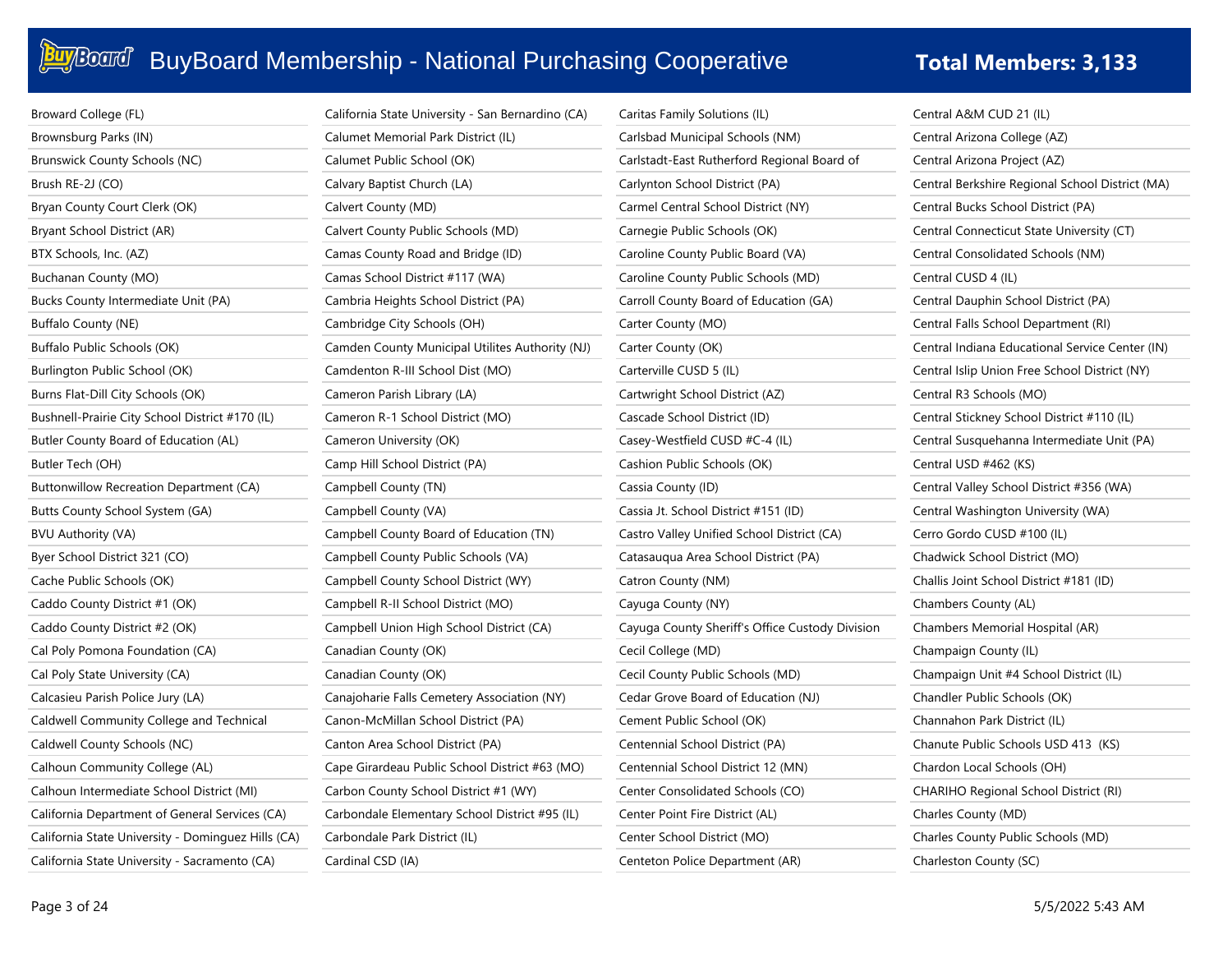| Broward College (FL)                               | California State University - San Bernardino (CA) | Caritas Family Solutions (IL)                   | Central A&M CUD 21 (IL)                         |
|----------------------------------------------------|---------------------------------------------------|-------------------------------------------------|-------------------------------------------------|
| Brownsburg Parks (IN)                              | Calumet Memorial Park District (IL)               | Carlsbad Municipal Schools (NM)                 | Central Arizona College (AZ)                    |
| Brunswick County Schools (NC)                      | Calumet Public School (OK)                        | Carlstadt-East Rutherford Regional Board of     | Central Arizona Project (AZ)                    |
| Brush RE-2J (CO)                                   | Calvary Baptist Church (LA)                       | Carlynton School District (PA)                  | Central Berkshire Regional School District (MA) |
| Bryan County Court Clerk (OK)                      | Calvert County (MD)                               | Carmel Central School District (NY)             | Central Bucks School District (PA)              |
| Bryant School District (AR)                        | Calvert County Public Schools (MD)                | Carnegie Public Schools (OK)                    | Central Connecticut State University (CT)       |
| BTX Schools, Inc. (AZ)                             | Camas County Road and Bridge (ID)                 | Caroline County Public Board (VA)               | Central Consolidated Schools (NM)               |
| Buchanan County (MO)                               | Camas School District #117 (WA)                   | Caroline County Public Schools (MD)             | Central CUSD 4 (IL)                             |
| Bucks County Intermediate Unit (PA)                | Cambria Heights School District (PA)              | Carroll County Board of Education (GA)          | Central Dauphin School District (PA)            |
| Buffalo County (NE)                                | Cambridge City Schools (OH)                       | Carter County (MO)                              | Central Falls School Department (RI)            |
| Buffalo Public Schools (OK)                        | Camden County Municipal Utilites Authority (NJ)   | Carter County (OK)                              | Central Indiana Educational Service Center (IN) |
| Burlington Public School (OK)                      | Camdenton R-III School Dist (MO)                  | Carterville CUSD 5 (IL)                         | Central Islip Union Free School District (NY)   |
| Burns Flat-Dill City Schools (OK)                  | Cameron Parish Library (LA)                       | Cartwright School District (AZ)                 | Central R3 Schools (MO)                         |
| Bushnell-Prairie City School District #170 (IL)    | Cameron R-1 School District (MO)                  | Cascade School District (ID)                    | Central Stickney School District #110 (IL)      |
| Butler County Board of Education (AL)              | Cameron University (OK)                           | Casey-Westfield CUSD #C-4 (IL)                  | Central Susquehanna Intermediate Unit (PA)      |
| Butler Tech (OH)                                   | Camp Hill School District (PA)                    | Cashion Public Schools (OK)                     | Central USD #462 (KS)                           |
| Buttonwillow Recreation Department (CA)            | Campbell County (TN)                              | Cassia County (ID)                              | Central Valley School District #356 (WA)        |
| Butts County School System (GA)                    | Campbell County (VA)                              | Cassia Jt. School District #151 (ID)            | Central Washington University (WA)              |
| BVU Authority (VA)                                 | Campbell County Board of Education (TN)           | Castro Valley Unified School District (CA)      | Cerro Gordo CUSD #100 (IL)                      |
| Byer School District 321 (CO)                      | Campbell County Public Schools (VA)               | Catasauqua Area School District (PA)            | Chadwick School District (MO)                   |
| Cache Public Schools (OK)                          | Campbell County School District (WY)              | Catron County (NM)                              | Challis Joint School District #181 (ID)         |
| Caddo County District #1 (OK)                      | Campbell R-II School District (MO)                | Cayuga County (NY)                              | Chambers County (AL)                            |
| Caddo County District #2 (OK)                      | Campbell Union High School District (CA)          | Cayuga County Sheriff's Office Custody Division | Chambers Memorial Hospital (AR)                 |
| Cal Poly Pomona Foundation (CA)                    | Canadian County (OK)                              | Cecil College (MD)                              | Champaign County (IL)                           |
| Cal Poly State University (CA)                     | Canadian County (OK)                              | Cecil County Public Schools (MD)                | Champaign Unit #4 School District (IL)          |
| Calcasieu Parish Police Jury (LA)                  | Canajoharie Falls Cemetery Association (NY)       | Cedar Grove Board of Education (NJ)             | Chandler Public Schools (OK)                    |
| Caldwell Community College and Technical           | Canon-McMillan School District (PA)               | Cement Public School (OK)                       | Channahon Park District (IL)                    |
| Caldwell County Schools (NC)                       | Canton Area School District (PA)                  | Centennial School District (PA)                 | Chanute Public Schools USD 413 (KS)             |
| Calhoun Community College (AL)                     | Cape Girardeau Public School District #63 (MO)    | Centennial School District 12 (MN)              | Chardon Local Schools (OH)                      |
| Calhoun Intermediate School District (MI)          | Carbon County School District #1 (WY)             | Center Consolidated Schools (CO)                | CHARIHO Regional School District (RI)           |
| California Department of General Services (CA)     | Carbondale Elementary School District #95 (IL)    | Center Point Fire District (AL)                 | Charles County (MD)                             |
| California State University - Dominguez Hills (CA) | Carbondale Park District (IL)                     | Center School District (MO)                     | Charles County Public Schools (MD)              |
| California State University - Sacramento (CA)      | Cardinal CSD (IA)                                 | Centeton Police Department (AR)                 | Charleston County (SC)                          |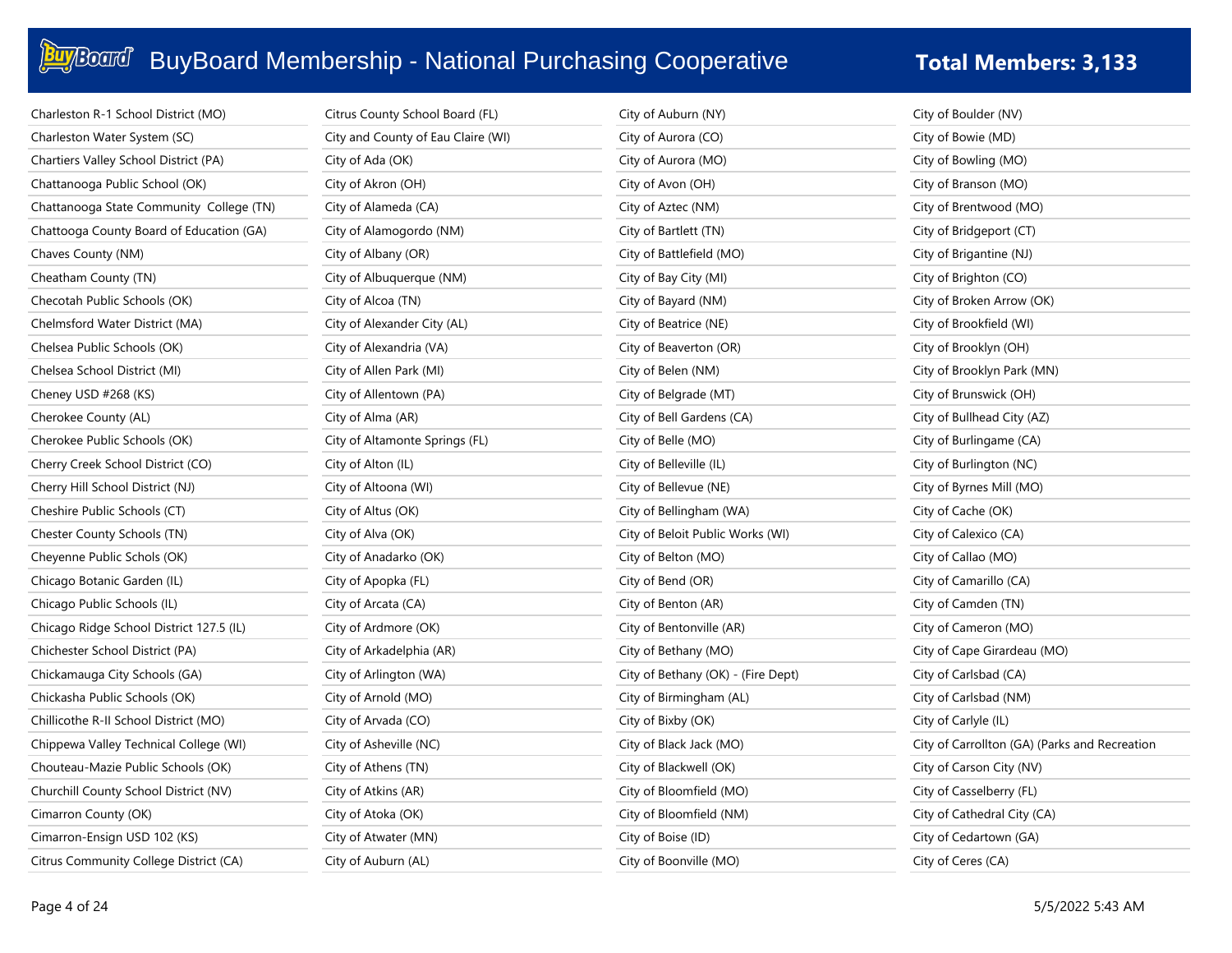| Charleston R-1 School District (MO)      | Citrus County School Board (FL)    | City of Auburn (NY)                | City of Boulder (NV)                          |
|------------------------------------------|------------------------------------|------------------------------------|-----------------------------------------------|
| Charleston Water System (SC)             | City and County of Eau Claire (WI) | City of Aurora (CO)                | City of Bowie (MD)                            |
| Chartiers Valley School District (PA)    | City of Ada (OK)                   | City of Aurora (MO)                | City of Bowling (MO)                          |
| Chattanooga Public School (OK)           | City of Akron (OH)                 | City of Avon (OH)                  | City of Branson (MO)                          |
| Chattanooga State Community College (TN) | City of Alameda (CA)               | City of Aztec (NM)                 | City of Brentwood (MO)                        |
| Chattooga County Board of Education (GA) | City of Alamogordo (NM)            | City of Bartlett (TN)              | City of Bridgeport (CT)                       |
| Chaves County (NM)                       | City of Albany (OR)                | City of Battlefield (MO)           | City of Brigantine (NJ)                       |
| Cheatham County (TN)                     | City of Albuquerque (NM)           | City of Bay City (MI)              | City of Brighton (CO)                         |
| Checotah Public Schools (OK)             | City of Alcoa (TN)                 | City of Bayard (NM)                | City of Broken Arrow (OK)                     |
| Chelmsford Water District (MA)           | City of Alexander City (AL)        | City of Beatrice (NE)              | City of Brookfield (WI)                       |
| Chelsea Public Schools (OK)              | City of Alexandria (VA)            | City of Beaverton (OR)             | City of Brooklyn (OH)                         |
| Chelsea School District (MI)             | City of Allen Park (MI)            | City of Belen (NM)                 | City of Brooklyn Park (MN)                    |
| Cheney USD #268 (KS)                     | City of Allentown (PA)             | City of Belgrade (MT)              | City of Brunswick (OH)                        |
| Cherokee County (AL)                     | City of Alma (AR)                  | City of Bell Gardens (CA)          | City of Bullhead City (AZ)                    |
| Cherokee Public Schools (OK)             | City of Altamonte Springs (FL)     | City of Belle (MO)                 | City of Burlingame (CA)                       |
| Cherry Creek School District (CO)        | City of Alton (IL)                 | City of Belleville (IL)            | City of Burlington (NC)                       |
| Cherry Hill School District (NJ)         | City of Altoona (WI)               | City of Bellevue (NE)              | City of Byrnes Mill (MO)                      |
| Cheshire Public Schools (CT)             | City of Altus (OK)                 | City of Bellingham (WA)            | City of Cache (OK)                            |
| Chester County Schools (TN)              | City of Alva (OK)                  | City of Beloit Public Works (WI)   | City of Calexico (CA)                         |
| Cheyenne Public Schols (OK)              | City of Anadarko (OK)              | City of Belton (MO)                | City of Callao (MO)                           |
| Chicago Botanic Garden (IL)              | City of Apopka (FL)                | City of Bend (OR)                  | City of Camarillo (CA)                        |
| Chicago Public Schools (IL)              | City of Arcata (CA)                | City of Benton (AR)                | City of Camden (TN)                           |
| Chicago Ridge School District 127.5 (IL) | City of Ardmore (OK)               | City of Bentonville (AR)           | City of Cameron (MO)                          |
| Chichester School District (PA)          | City of Arkadelphia (AR)           | City of Bethany (MO)               | City of Cape Girardeau (MO)                   |
| Chickamauga City Schools (GA)            | City of Arlington (WA)             | City of Bethany (OK) - (Fire Dept) | City of Carlsbad (CA)                         |
| Chickasha Public Schools (OK)            | City of Arnold (MO)                | City of Birmingham (AL)            | City of Carlsbad (NM)                         |
| Chillicothe R-II School District (MO)    | City of Arvada (CO)                | City of Bixby (OK)                 | City of Carlyle (IL)                          |
| Chippewa Valley Technical College (WI)   | City of Asheville (NC)             | City of Black Jack (MO)            | City of Carrollton (GA) (Parks and Recreation |
| Chouteau-Mazie Public Schools (OK)       | City of Athens (TN)                | City of Blackwell (OK)             | City of Carson City (NV)                      |
| Churchill County School District (NV)    | City of Atkins (AR)                | City of Bloomfield (MO)            | City of Casselberry (FL)                      |
| Cimarron County (OK)                     | City of Atoka (OK)                 | City of Bloomfield (NM)            | City of Cathedral City (CA)                   |
| Cimarron-Ensign USD 102 (KS)             | City of Atwater (MN)               | City of Boise (ID)                 | City of Cedartown (GA)                        |
| Citrus Community College District (CA)   | City of Auburn (AL)                | City of Boonville (MO)             | City of Ceres (CA)                            |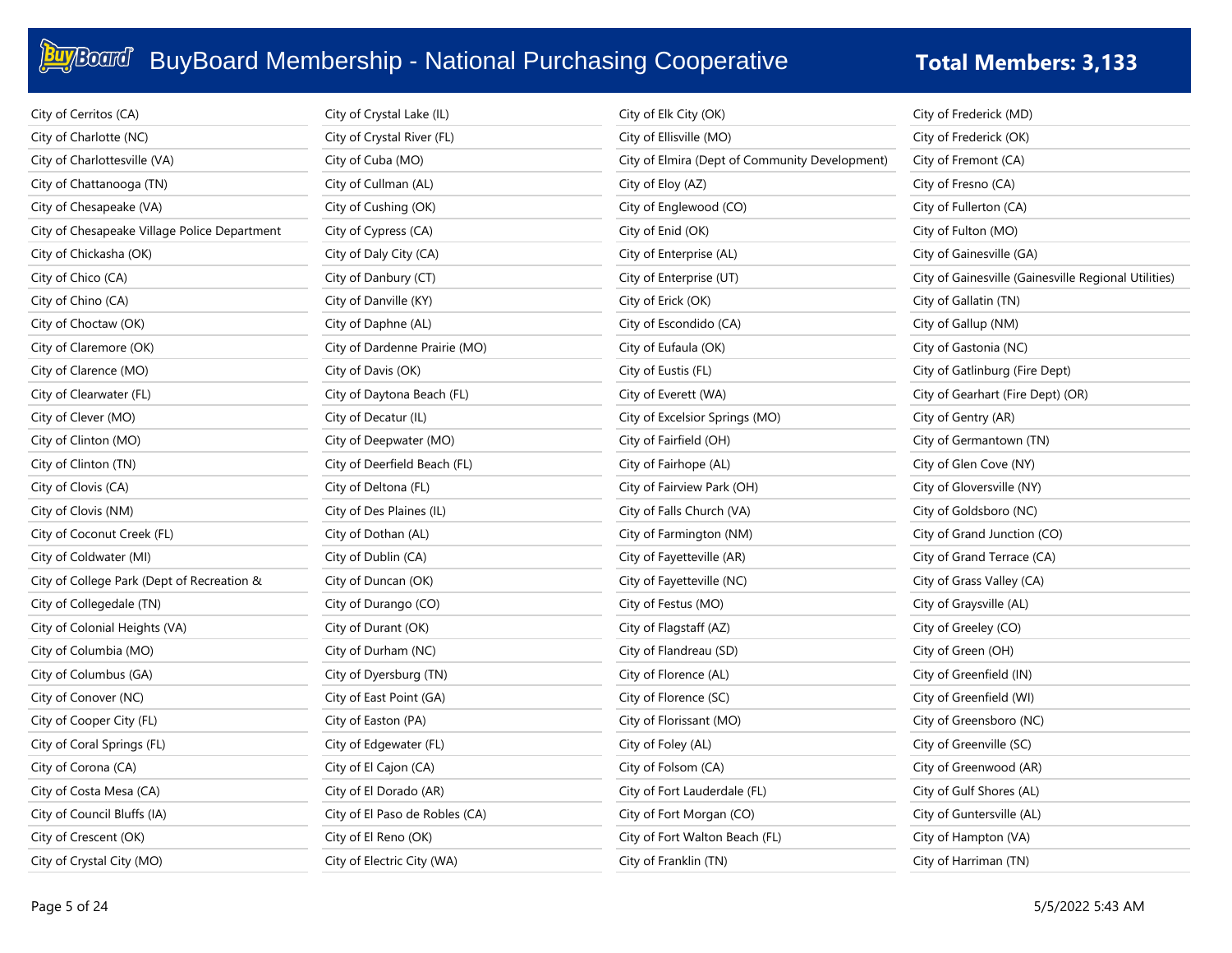| City of Cerritos (CA)                        | City of Crystal Lake (IL)      | City of Elk City (OK)                          | City of Frederick (MD)                               |
|----------------------------------------------|--------------------------------|------------------------------------------------|------------------------------------------------------|
| City of Charlotte (NC)                       | City of Crystal River (FL)     | City of Ellisville (MO)                        | City of Frederick (OK)                               |
| City of Charlottesville (VA)                 | City of Cuba (MO)              | City of Elmira (Dept of Community Development) | City of Fremont (CA)                                 |
| City of Chattanooga (TN)                     | City of Cullman (AL)           | City of Eloy (AZ)                              | City of Fresno (CA)                                  |
| City of Chesapeake (VA)                      | City of Cushing (OK)           | City of Englewood (CO)                         | City of Fullerton (CA)                               |
| City of Chesapeake Village Police Department | City of Cypress (CA)           | City of Enid (OK)                              | City of Fulton (MO)                                  |
| City of Chickasha (OK)                       | City of Daly City (CA)         | City of Enterprise (AL)                        | City of Gainesville (GA)                             |
| City of Chico (CA)                           | City of Danbury (CT)           | City of Enterprise (UT)                        | City of Gainesville (Gainesville Regional Utilities) |
| City of Chino (CA)                           | City of Danville (KY)          | City of Erick (OK)                             | City of Gallatin (TN)                                |
| City of Choctaw (OK)                         | City of Daphne (AL)            | City of Escondido (CA)                         | City of Gallup (NM)                                  |
| City of Claremore (OK)                       | City of Dardenne Prairie (MO)  | City of Eufaula (OK)                           | City of Gastonia (NC)                                |
| City of Clarence (MO)                        | City of Davis (OK)             | City of Eustis (FL)                            | City of Gatlinburg (Fire Dept)                       |
| City of Clearwater (FL)                      | City of Daytona Beach (FL)     | City of Everett (WA)                           | City of Gearhart (Fire Dept) (OR)                    |
| City of Clever (MO)                          | City of Decatur (IL)           | City of Excelsior Springs (MO)                 | City of Gentry (AR)                                  |
| City of Clinton (MO)                         | City of Deepwater (MO)         | City of Fairfield (OH)                         | City of Germantown (TN)                              |
| City of Clinton (TN)                         | City of Deerfield Beach (FL)   | City of Fairhope (AL)                          | City of Glen Cove (NY)                               |
| City of Clovis (CA)                          | City of Deltona (FL)           | City of Fairview Park (OH)                     | City of Gloversville (NY)                            |
| City of Clovis (NM)                          | City of Des Plaines (IL)       | City of Falls Church (VA)                      | City of Goldsboro (NC)                               |
| City of Coconut Creek (FL)                   | City of Dothan (AL)            | City of Farmington (NM)                        | City of Grand Junction (CO)                          |
| City of Coldwater (MI)                       | City of Dublin (CA)            | City of Fayetteville (AR)                      | City of Grand Terrace (CA)                           |
| City of College Park (Dept of Recreation &   | City of Duncan (OK)            | City of Fayetteville (NC)                      | City of Grass Valley (CA)                            |
| City of Collegedale (TN)                     | City of Durango (CO)           | City of Festus (MO)                            | City of Graysville (AL)                              |
| City of Colonial Heights (VA)                | City of Durant (OK)            | City of Flagstaff (AZ)                         | City of Greeley (CO)                                 |
| City of Columbia (MO)                        | City of Durham (NC)            | City of Flandreau (SD)                         | City of Green (OH)                                   |
| City of Columbus (GA)                        | City of Dyersburg (TN)         | City of Florence (AL)                          | City of Greenfield (IN)                              |
| City of Conover (NC)                         | City of East Point (GA)        | City of Florence (SC)                          | City of Greenfield (WI)                              |
| City of Cooper City (FL)                     | City of Easton (PA)            | City of Florissant (MO)                        | City of Greensboro (NC)                              |
| City of Coral Springs (FL)                   | City of Edgewater (FL)         | City of Foley (AL)                             | City of Greenville (SC)                              |
| City of Corona (CA)                          | City of El Cajon (CA)          | City of Folsom (CA)                            | City of Greenwood (AR)                               |
| City of Costa Mesa (CA)                      | City of El Dorado (AR)         | City of Fort Lauderdale (FL)                   | City of Gulf Shores (AL)                             |
| City of Council Bluffs (IA)                  | City of El Paso de Robles (CA) | City of Fort Morgan (CO)                       | City of Guntersville (AL)                            |
| City of Crescent (OK)                        | City of El Reno (OK)           | City of Fort Walton Beach (FL)                 | City of Hampton (VA)                                 |
| City of Crystal City (MO)                    | City of Electric City (WA)     | City of Franklin (TN)                          | City of Harriman (TN)                                |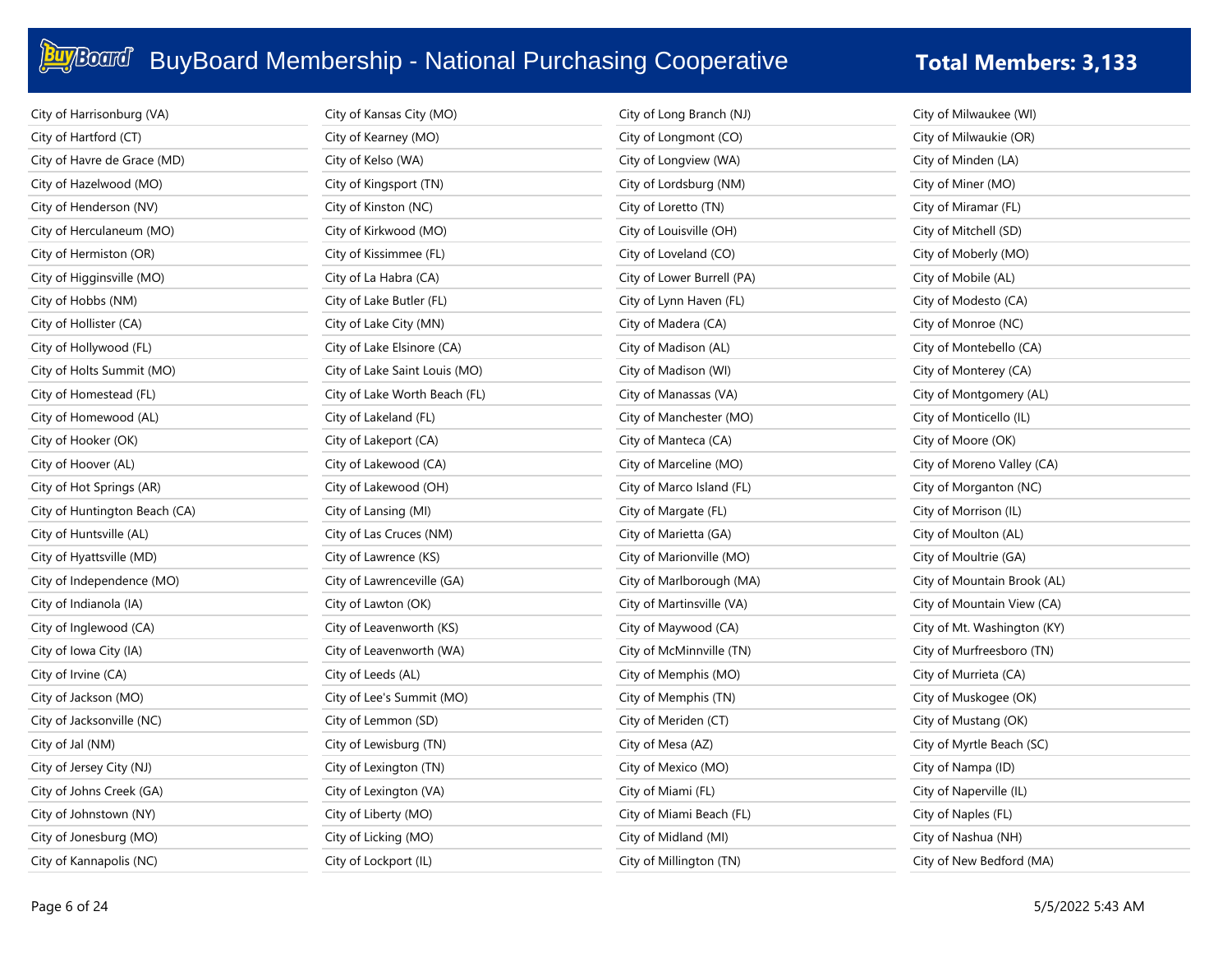| City of Harrisonburg (VA)     | City of Kansas City (MO)      | City of Long Branch (NJ)   | City of Milwaukee (WI)      |
|-------------------------------|-------------------------------|----------------------------|-----------------------------|
| City of Hartford (CT)         | City of Kearney (MO)          | City of Longmont (CO)      | City of Milwaukie (OR)      |
| City of Havre de Grace (MD)   | City of Kelso (WA)            | City of Longview (WA)      | City of Minden (LA)         |
| City of Hazelwood (MO)        | City of Kingsport (TN)        | City of Lordsburg (NM)     | City of Miner (MO)          |
| City of Henderson (NV)        | City of Kinston (NC)          | City of Loretto (TN)       | City of Miramar (FL)        |
| City of Herculaneum (MO)      | City of Kirkwood (MO)         | City of Louisville (OH)    | City of Mitchell (SD)       |
| City of Hermiston (OR)        | City of Kissimmee (FL)        | City of Loveland (CO)      | City of Moberly (MO)        |
| City of Higginsville (MO)     | City of La Habra (CA)         | City of Lower Burrell (PA) | City of Mobile (AL)         |
| City of Hobbs (NM)            | City of Lake Butler (FL)      | City of Lynn Haven (FL)    | City of Modesto (CA)        |
| City of Hollister (CA)        | City of Lake City (MN)        | City of Madera (CA)        | City of Monroe (NC)         |
| City of Hollywood (FL)        | City of Lake Elsinore (CA)    | City of Madison (AL)       | City of Montebello (CA)     |
| City of Holts Summit (MO)     | City of Lake Saint Louis (MO) | City of Madison (WI)       | City of Monterey (CA)       |
| City of Homestead (FL)        | City of Lake Worth Beach (FL) | City of Manassas (VA)      | City of Montgomery (AL)     |
| City of Homewood (AL)         | City of Lakeland (FL)         | City of Manchester (MO)    | City of Monticello (IL)     |
| City of Hooker (OK)           | City of Lakeport (CA)         | City of Manteca (CA)       | City of Moore (OK)          |
| City of Hoover (AL)           | City of Lakewood (CA)         | City of Marceline (MO)     | City of Moreno Valley (CA)  |
| City of Hot Springs (AR)      | City of Lakewood (OH)         | City of Marco Island (FL)  | City of Morganton (NC)      |
| City of Huntington Beach (CA) | City of Lansing (MI)          | City of Margate (FL)       | City of Morrison (IL)       |
| City of Huntsville (AL)       | City of Las Cruces (NM)       | City of Marietta (GA)      | City of Moulton (AL)        |
| City of Hyattsville (MD)      | City of Lawrence (KS)         | City of Marionville (MO)   | City of Moultrie (GA)       |
| City of Independence (MO)     | City of Lawrenceville (GA)    | City of Marlborough (MA)   | City of Mountain Brook (AL) |
| City of Indianola (IA)        | City of Lawton (OK)           | City of Martinsville (VA)  | City of Mountain View (CA)  |
| City of Inglewood (CA)        | City of Leavenworth (KS)      | City of Maywood (CA)       | City of Mt. Washington (KY) |
| City of Iowa City (IA)        | City of Leavenworth (WA)      | City of McMinnville (TN)   | City of Murfreesboro (TN)   |
| City of Irvine (CA)           | City of Leeds (AL)            | City of Memphis (MO)       | City of Murrieta (CA)       |
| City of Jackson (MO)          | City of Lee's Summit (MO)     | City of Memphis (TN)       | City of Muskogee (OK)       |
| City of Jacksonville (NC)     | City of Lemmon (SD)           | City of Meriden (CT)       | City of Mustang (OK)        |
| City of Jal (NM)              | City of Lewisburg (TN)        | City of Mesa (AZ)          | City of Myrtle Beach (SC)   |
| City of Jersey City (NJ)      | City of Lexington (TN)        | City of Mexico (MO)        | City of Nampa (ID)          |
| City of Johns Creek (GA)      | City of Lexington (VA)        | City of Miami (FL)         | City of Naperville (IL)     |
| City of Johnstown (NY)        | City of Liberty (MO)          | City of Miami Beach (FL)   | City of Naples (FL)         |
| City of Jonesburg (MO)        | City of Licking (MO)          | City of Midland (MI)       | City of Nashua (NH)         |
| City of Kannapolis (NC)       | City of Lockport (IL)         | City of Millington (TN)    | City of New Bedford (MA)    |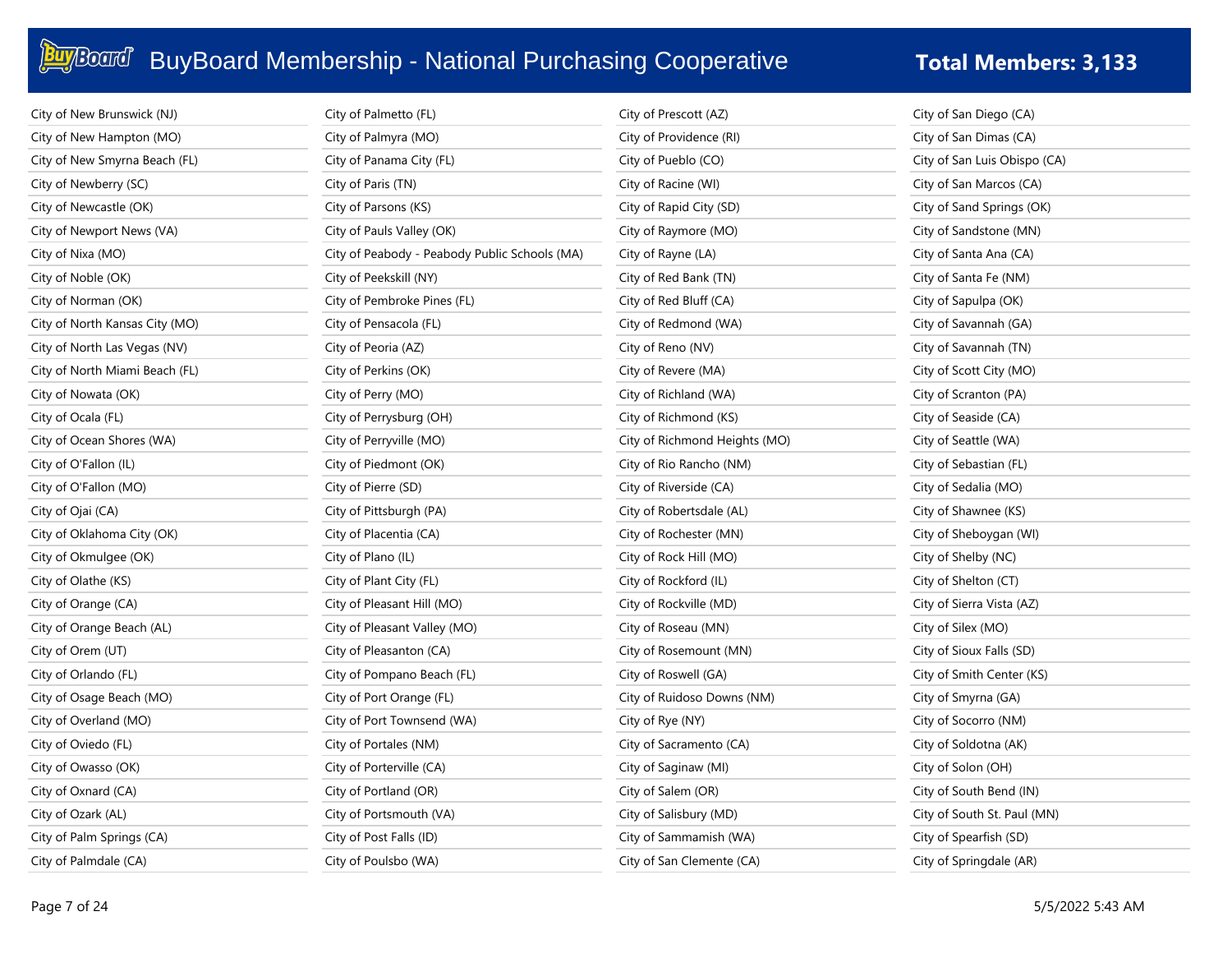| City of New Brunswick (NJ)     | City of Palmetto (FL)                         | City of Prescott (AZ)         | City of San Diego (CA)       |
|--------------------------------|-----------------------------------------------|-------------------------------|------------------------------|
| City of New Hampton (MO)       | City of Palmyra (MO)                          | City of Providence (RI)       | City of San Dimas (CA)       |
| City of New Smyrna Beach (FL)  | City of Panama City (FL)                      | City of Pueblo (CO)           | City of San Luis Obispo (CA) |
| City of Newberry (SC)          | City of Paris (TN)                            | City of Racine (WI)           | City of San Marcos (CA)      |
| City of Newcastle (OK)         | City of Parsons (KS)                          | City of Rapid City (SD)       | City of Sand Springs (OK)    |
| City of Newport News (VA)      | City of Pauls Valley (OK)                     | City of Raymore (MO)          | City of Sandstone (MN)       |
| City of Nixa (MO)              | City of Peabody - Peabody Public Schools (MA) | City of Rayne (LA)            | City of Santa Ana (CA)       |
| City of Noble (OK)             | City of Peekskill (NY)                        | City of Red Bank (TN)         | City of Santa Fe (NM)        |
| City of Norman (OK)            | City of Pembroke Pines (FL)                   | City of Red Bluff (CA)        | City of Sapulpa (OK)         |
| City of North Kansas City (MO) | City of Pensacola (FL)                        | City of Redmond (WA)          | City of Savannah (GA)        |
| City of North Las Vegas (NV)   | City of Peoria (AZ)                           | City of Reno (NV)             | City of Savannah (TN)        |
| City of North Miami Beach (FL) | City of Perkins (OK)                          | City of Revere (MA)           | City of Scott City (MO)      |
| City of Nowata (OK)            | City of Perry (MO)                            | City of Richland (WA)         | City of Scranton (PA)        |
| City of Ocala (FL)             | City of Perrysburg (OH)                       | City of Richmond (KS)         | City of Seaside (CA)         |
| City of Ocean Shores (WA)      | City of Perryville (MO)                       | City of Richmond Heights (MO) | City of Seattle (WA)         |
| City of O'Fallon (IL)          | City of Piedmont (OK)                         | City of Rio Rancho (NM)       | City of Sebastian (FL)       |
| City of O'Fallon (MO)          | City of Pierre (SD)                           | City of Riverside (CA)        | City of Sedalia (MO)         |
| City of Ojai (CA)              | City of Pittsburgh (PA)                       | City of Robertsdale (AL)      | City of Shawnee (KS)         |
| City of Oklahoma City (OK)     | City of Placentia (CA)                        | City of Rochester (MN)        | City of Sheboygan (WI)       |
| City of Okmulgee (OK)          | City of Plano (IL)                            | City of Rock Hill (MO)        | City of Shelby (NC)          |
| City of Olathe (KS)            | City of Plant City (FL)                       | City of Rockford (IL)         | City of Shelton (CT)         |
| City of Orange (CA)            | City of Pleasant Hill (MO)                    | City of Rockville (MD)        | City of Sierra Vista (AZ)    |
| City of Orange Beach (AL)      | City of Pleasant Valley (MO)                  | City of Roseau (MN)           | City of Silex (MO)           |
| City of Orem (UT)              | City of Pleasanton (CA)                       | City of Rosemount (MN)        | City of Sioux Falls (SD)     |
| City of Orlando (FL)           | City of Pompano Beach (FL)                    | City of Roswell (GA)          | City of Smith Center (KS)    |
| City of Osage Beach (MO)       | City of Port Orange (FL)                      | City of Ruidoso Downs (NM)    | City of Smyrna (GA)          |
| City of Overland (MO)          | City of Port Townsend (WA)                    | City of Rye (NY)              | City of Socorro (NM)         |
| City of Oviedo (FL)            | City of Portales (NM)                         | City of Sacramento (CA)       | City of Soldotna (AK)        |
| City of Owasso (OK)            | City of Porterville (CA)                      | City of Saginaw (MI)          | City of Solon (OH)           |
| City of Oxnard (CA)            | City of Portland (OR)                         | City of Salem (OR)            | City of South Bend (IN)      |
| City of Ozark (AL)             | City of Portsmouth (VA)                       | City of Salisbury (MD)        | City of South St. Paul (MN)  |
| City of Palm Springs (CA)      | City of Post Falls (ID)                       | City of Sammamish (WA)        | City of Spearfish (SD)       |
| City of Palmdale (CA)          | City of Poulsbo (WA)                          | City of San Clemente (CA)     | City of Springdale (AR)      |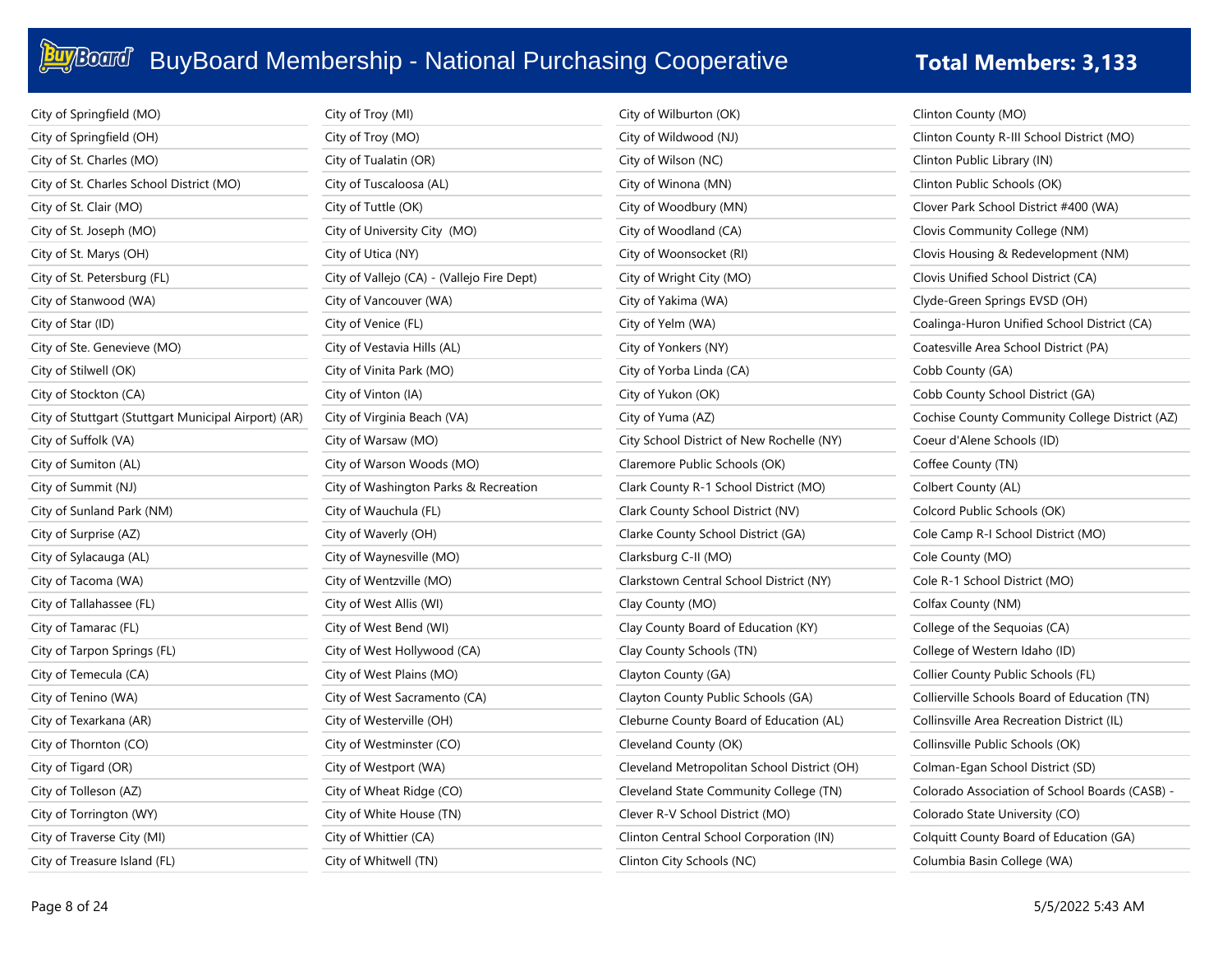| City of Springfield (MO)                             | City of Troy (MI)                          | City of Wilburton (OK)                      | Clinton County (MO)                            |
|------------------------------------------------------|--------------------------------------------|---------------------------------------------|------------------------------------------------|
| City of Springfield (OH)                             | City of Troy (MO)                          | City of Wildwood (NJ)                       | Clinton County R-III School District (MO)      |
| City of St. Charles (MO)                             | City of Tualatin (OR)                      | City of Wilson (NC)                         | Clinton Public Library (IN)                    |
| City of St. Charles School District (MO)             | City of Tuscaloosa (AL)                    | City of Winona (MN)                         | Clinton Public Schools (OK)                    |
| City of St. Clair (MO)                               | City of Tuttle (OK)                        | City of Woodbury (MN)                       | Clover Park School District #400 (WA)          |
| City of St. Joseph (MO)                              | City of University City (MO)               | City of Woodland (CA)                       | Clovis Community College (NM)                  |
| City of St. Marys (OH)                               | City of Utica (NY)                         | City of Woonsocket (RI)                     | Clovis Housing & Redevelopment (NM)            |
| City of St. Petersburg (FL)                          | City of Vallejo (CA) - (Vallejo Fire Dept) | City of Wright City (MO)                    | Clovis Unified School District (CA)            |
| City of Stanwood (WA)                                | City of Vancouver (WA)                     | City of Yakima (WA)                         | Clyde-Green Springs EVSD (OH)                  |
| City of Star (ID)                                    | City of Venice (FL)                        | City of Yelm (WA)                           | Coalinga-Huron Unified School District (CA)    |
| City of Ste. Genevieve (MO)                          | City of Vestavia Hills (AL)                | City of Yonkers (NY)                        | Coatesville Area School District (PA)          |
| City of Stilwell (OK)                                | City of Vinita Park (MO)                   | City of Yorba Linda (CA)                    | Cobb County (GA)                               |
| City of Stockton (CA)                                | City of Vinton (IA)                        | City of Yukon (OK)                          | Cobb County School District (GA)               |
| City of Stuttgart (Stuttgart Municipal Airport) (AR) | City of Virginia Beach (VA)                | City of Yuma (AZ)                           | Cochise County Community College District (AZ) |
| City of Suffolk (VA)                                 | City of Warsaw (MO)                        | City School District of New Rochelle (NY)   | Coeur d'Alene Schools (ID)                     |
| City of Sumiton (AL)                                 | City of Warson Woods (MO)                  | Claremore Public Schools (OK)               | Coffee County (TN)                             |
| City of Summit (NJ)                                  | City of Washington Parks & Recreation      | Clark County R-1 School District (MO)       | Colbert County (AL)                            |
| City of Sunland Park (NM)                            | City of Wauchula (FL)                      | Clark County School District (NV)           | Colcord Public Schools (OK)                    |
| City of Surprise (AZ)                                | City of Waverly (OH)                       | Clarke County School District (GA)          | Cole Camp R-I School District (MO)             |
| City of Sylacauga (AL)                               | City of Waynesville (MO)                   | Clarksburg C-II (MO)                        | Cole County (MO)                               |
| City of Tacoma (WA)                                  | City of Wentzville (MO)                    | Clarkstown Central School District (NY)     | Cole R-1 School District (MO)                  |
| City of Tallahassee (FL)                             | City of West Allis (WI)                    | Clay County (MO)                            | Colfax County (NM)                             |
| City of Tamarac (FL)                                 | City of West Bend (WI)                     | Clay County Board of Education (KY)         | College of the Sequoias (CA)                   |
| City of Tarpon Springs (FL)                          | City of West Hollywood (CA)                | Clay County Schools (TN)                    | College of Western Idaho (ID)                  |
| City of Temecula (CA)                                | City of West Plains (MO)                   | Clayton County (GA)                         | Collier County Public Schools (FL)             |
| City of Tenino (WA)                                  | City of West Sacramento (CA)               | Clayton County Public Schools (GA)          | Collierville Schools Board of Education (TN)   |
| City of Texarkana (AR)                               | City of Westerville (OH)                   | Cleburne County Board of Education (AL)     | Collinsville Area Recreation District (IL)     |
| City of Thornton (CO)                                | City of Westminster (CO)                   | Cleveland County (OK)                       | Collinsville Public Schools (OK)               |
| City of Tigard (OR)                                  | City of Westport (WA)                      | Cleveland Metropolitan School District (OH) | Colman-Egan School District (SD)               |
| City of Tolleson (AZ)                                | City of Wheat Ridge (CO)                   | Cleveland State Community College (TN)      | Colorado Association of School Boards (CASB) - |
| City of Torrington (WY)                              | City of White House (TN)                   | Clever R-V School District (MO)             | Colorado State University (CO)                 |
| City of Traverse City (MI)                           | City of Whittier (CA)                      | Clinton Central School Corporation (IN)     | Colquitt County Board of Education (GA)        |
| City of Treasure Island (FL)                         | City of Whitwell (TN)                      | Clinton City Schools (NC)                   | Columbia Basin College (WA)                    |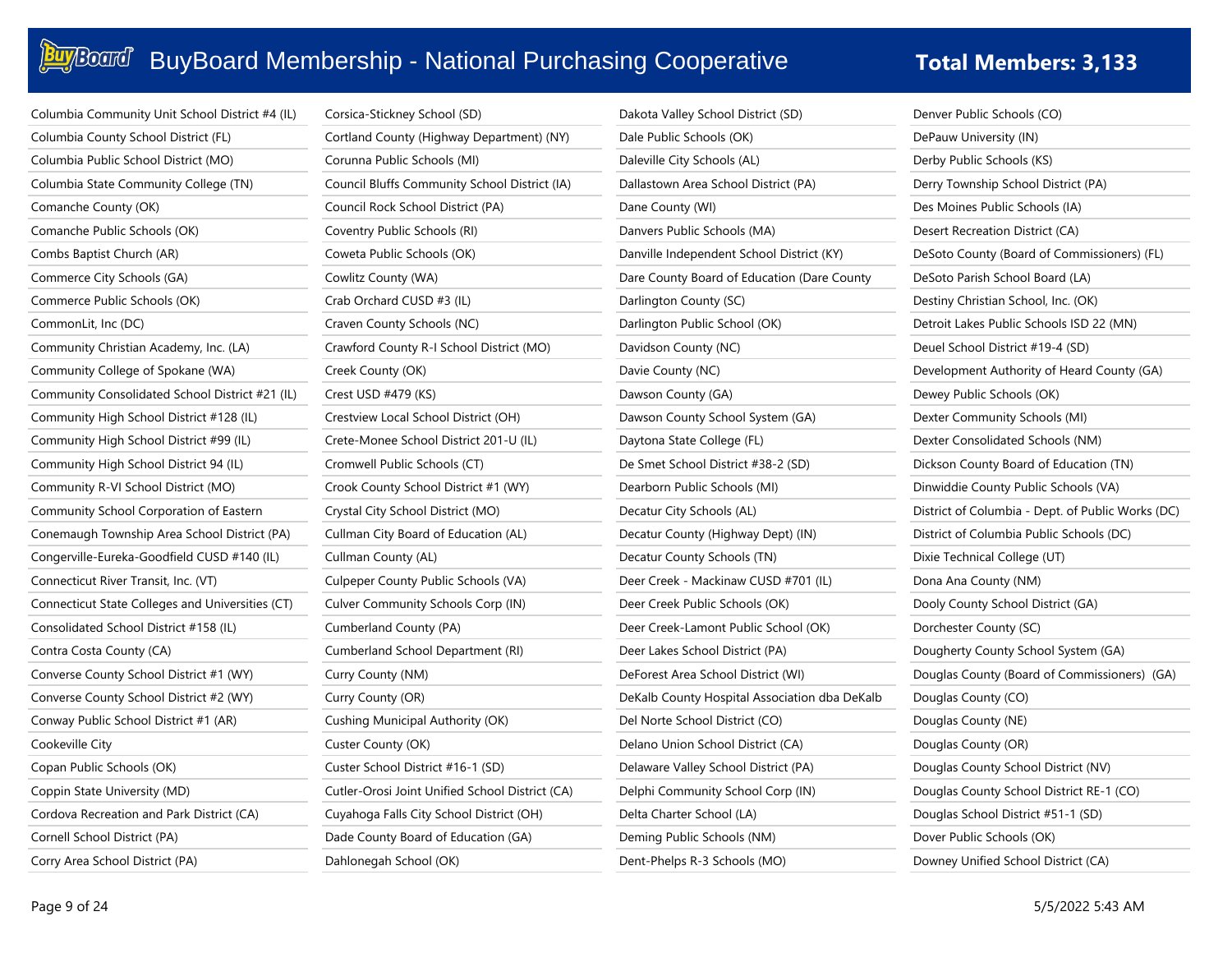| Columbia Community Unit School District #4 (IL)  | Corsica-Stickney School         |
|--------------------------------------------------|---------------------------------|
| Columbia County School District (FL)             | Cortland County (Highwa         |
| Columbia Public School District (MO)             | Corunna Public Schools (        |
| Columbia State Community College (TN)            | Council Bluffs Communit         |
| Comanche County (OK)                             | Council Rock School Dist        |
| Comanche Public Schools (OK)                     | Coventry Public Schools         |
| Combs Baptist Church (AR)                        | Coweta Public Schools (C        |
| Commerce City Schools (GA)                       | Cowlitz County (WA)             |
| Commerce Public Schools (OK)                     | Crab Orchard CUSD #3 (I         |
| CommonLit, Inc (DC)                              | Craven County Schools (I        |
| Community Christian Academy, Inc. (LA)           | Crawford County R-I Sch         |
| Community College of Spokane (WA)                | Creek County (OK)               |
| Community Consolidated School District #21 (IL)  | Crest USD #479 (KS)             |
| Community High School District #128 (IL)         | Crestview Local School D        |
| Community High School District #99 (IL)          | Crete-Monee School Dist         |
| Community High School District 94 (IL)           | Cromwell Public Schools         |
| Community R-VI School District (MO)              | Crook County School Dis         |
| Community School Corporation of Eastern          | Crystal City School Distrio     |
| Conemaugh Township Area School District (PA)     | Cullman City Board of Ed        |
| Congerville-Eureka-Goodfield CUSD #140 (IL)      | Cullman County (AL)             |
| Connecticut River Transit, Inc. (VT)             | <b>Culpeper County Public 9</b> |
| Connecticut State Colleges and Universities (CT) | <b>Culver Community Schoo</b>   |
| Consolidated School District #158 (IL)           | Cumberland County (PA)          |
| Contra Costa County (CA)                         | Cumberland School Depa          |
| Converse County School District #1 (WY)          | Curry County (NM)               |
| Converse County School District #2 (WY)          | Curry County (OR)               |
| Conway Public School District #1 (AR)            | Cushing Municipal Autho         |
| Cookeville City                                  | Custer County (OK)              |
| Copan Public Schools (OK)                        | Custer School District #1       |
| Coppin State University (MD)                     | Cutler-Orosi Joint Unified      |
| Cordova Recreation and Park District (CA)        | Cuyahoga Falls City Scho        |
| Cornell School District (PA)                     | Dade County Board of Ed         |
| Corry Area School District (PA)                  | Dahlonegah School (OK)          |

| Corsica-Stickney School (SD)                    |
|-------------------------------------------------|
| Cortland County (Highway Department) (NY)       |
| Corunna Public Schools (MI)                     |
| Council Bluffs Community School District (IA)   |
| Council Rock School District (PA)               |
| Coventry Public Schools (RI)                    |
| Coweta Public Schools (OK)                      |
| Cowlitz County (WA)                             |
| Crab Orchard CUSD #3 (IL)                       |
| Craven County Schools (NC)                      |
| Crawford County R-I School District (MO)        |
| Creek County (OK)                               |
| Crest USD #479 (KS)                             |
| Crestview Local School District (OH)            |
| Crete-Monee School District 201-U (IL)          |
| Cromwell Public Schools (CT)                    |
| Crook County School District #1 (WY)            |
| Crystal City School District (MO)               |
| Cullman City Board of Education (AL)            |
| Cullman County (AL)                             |
| Culpeper County Public Schools (VA)             |
| Culver Community Schools Corp (IN)              |
| Cumberland County (PA)                          |
| Cumberland School Department (RI)               |
| Curry County (NM)                               |
| Curry County (OR)                               |
| Cushing Municipal Authority (OK)                |
| Custer County (OK)                              |
| Custer School District #16-1 (SD)               |
| Cutler-Orosi Joint Unified School District (CA) |
| Cuyahoga Falls City School District (OH)        |
| Dade County Board of Education (GA)             |

| Dakota Valley School District (SD)            |
|-----------------------------------------------|
| Dale Public Schools (OK)                      |
| Daleville City Schools (AL)                   |
| Dallastown Area School District (PA)          |
| Dane County (WI)                              |
| Danvers Public Schools (MA)                   |
| Danville Independent School District (KY)     |
| Dare County Board of Education (Dare County   |
| Darlington County (SC)                        |
| Darlington Public School (OK)                 |
| Davidson County (NC)                          |
| Davie County (NC)                             |
| Dawson County (GA)                            |
| Dawson County School System (GA)              |
| Daytona State College (FL)                    |
| De Smet School District #38-2 (SD)            |
| Dearborn Public Schools (MI)                  |
| Decatur City Schools (AL)                     |
| Decatur County (Highway Dept) (IN)            |
| Decatur County Schools (TN)                   |
| Deer Creek - Mackinaw CUSD #701 (IL)          |
| Deer Creek Public Schools (OK)                |
| Deer Creek-Lamont Public School (OK)          |
| Deer Lakes School District (PA)               |
| DeForest Area School District (WI)            |
| DeKalb County Hospital Association dba DeKalb |
| Del Norte School District (CO)                |
| Delano Union School District (CA)             |
| Delaware Valley School District (PA)          |
| Delphi Community School Corp (IN)             |
| Delta Charter School (LA)                     |
| Deming Public Schools (NM)                    |
| Dent-Phelps R-3 Schools (MO)                  |

Denver Public Schools (CO) DePauw University (IN) Derby Public Schools (KS) Derry Township School District (PA) Des Moines Public Schools (IA) Desert Recreation District (CA) DeSoto County (Board of Commissioners) (FL) DeSoto Parish School Board (LA) Destiny Christian School, Inc. (OK) Detroit Lakes Public Schools ISD 22 (MN) Deuel School District #19-4 (SD) Development Authority of Heard County (GA) Dewey Public Schools (OK) Dexter Community Schools (MI) Dexter Consolidated Schools (NM) Dickson County Board of Education (TN) Dinwiddie County Public Schools (VA) District of Columbia - Dept. of Public Works (DC) District of Columbia Public Schools (DC) Dixie Technical College (UT) Dona Ana County (NM) Dooly County School District (GA) Dorchester County (SC) Dougherty County School System (GA) Douglas County (Board of Commissioners) (GA) Douglas County (CO) Douglas County (NE) Douglas County (OR) Douglas County School District (NV) Douglas County School District RE-1 (CO) Douglas School District #51-1 (SD) Dover Public Schools (OK) Downey Unified School District (CA)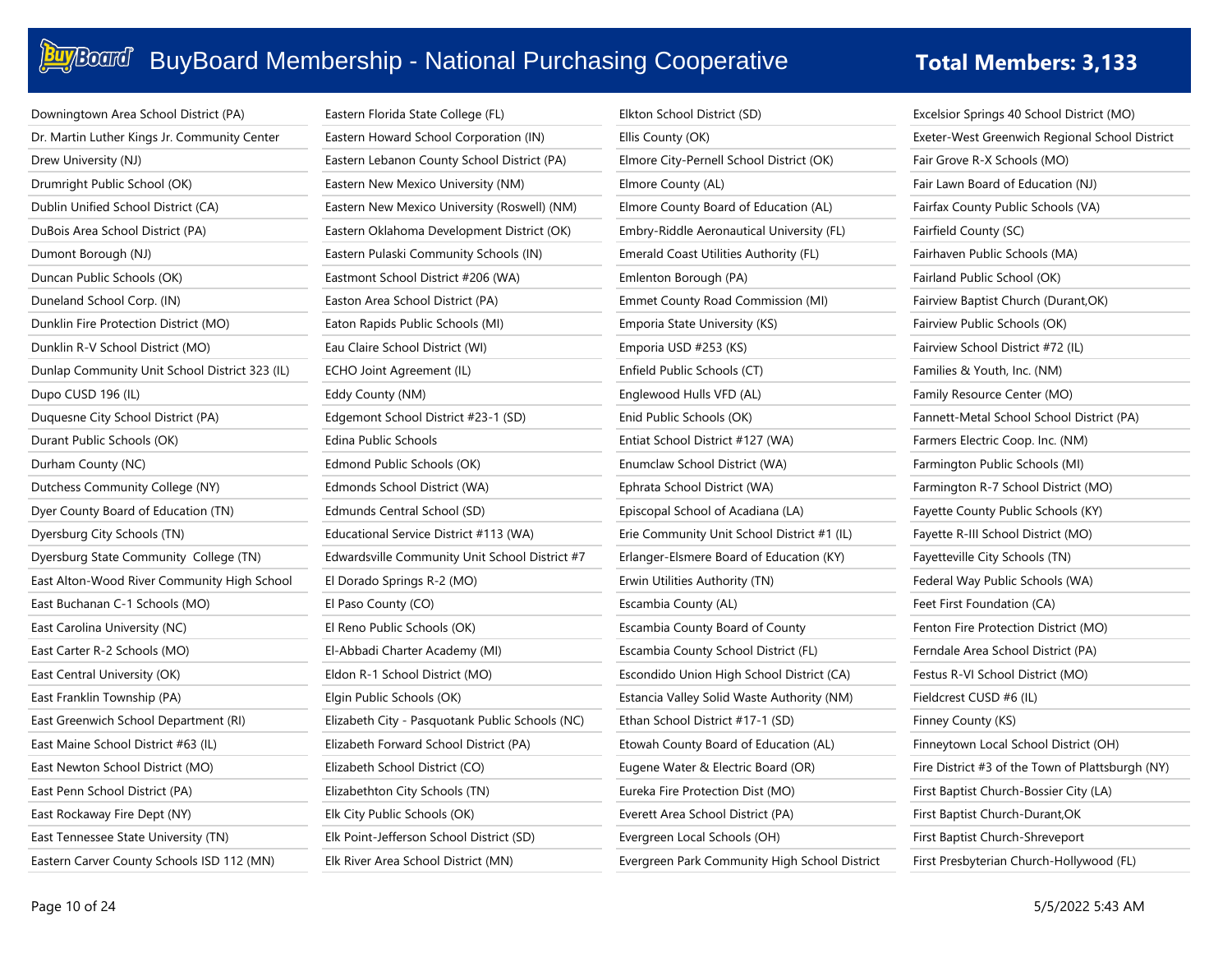| Downingtown Area School District (PA)          | Eastern Florida State College (FL)              | Elkton School District (SD)                   | Excelsior Springs 40 School District (MO)        |
|------------------------------------------------|-------------------------------------------------|-----------------------------------------------|--------------------------------------------------|
| Dr. Martin Luther Kings Jr. Community Center   | Eastern Howard School Corporation (IN)          | Ellis County (OK)                             | Exeter-West Greenwich Regional School District   |
| Drew University (NJ)                           | Eastern Lebanon County School District (PA)     | Elmore City-Pernell School District (OK)      | Fair Grove R-X Schools (MO)                      |
| Drumright Public School (OK)                   | Eastern New Mexico University (NM)              | Elmore County (AL)                            | Fair Lawn Board of Education (NJ)                |
| Dublin Unified School District (CA)            | Eastern New Mexico University (Roswell) (NM)    | Elmore County Board of Education (AL)         | Fairfax County Public Schools (VA)               |
| DuBois Area School District (PA)               | Eastern Oklahoma Development District (OK)      | Embry-Riddle Aeronautical University (FL)     | Fairfield County (SC)                            |
| Dumont Borough (NJ)                            | Eastern Pulaski Community Schools (IN)          | Emerald Coast Utilities Authority (FL)        | Fairhaven Public Schools (MA)                    |
| Duncan Public Schools (OK)                     | Eastmont School District #206 (WA)              | Emlenton Borough (PA)                         | Fairland Public School (OK)                      |
| Duneland School Corp. (IN)                     | Easton Area School District (PA)                | Emmet County Road Commission (MI)             | Fairview Baptist Church (Durant, OK)             |
| Dunklin Fire Protection District (MO)          | Eaton Rapids Public Schools (MI)                | Emporia State University (KS)                 | Fairview Public Schools (OK)                     |
| Dunklin R-V School District (MO)               | Eau Claire School District (WI)                 | Emporia USD #253 (KS)                         | Fairview School District #72 (IL)                |
| Dunlap Community Unit School District 323 (IL) | ECHO Joint Agreement (IL)                       | Enfield Public Schools (CT)                   | Families & Youth, Inc. (NM)                      |
| Dupo CUSD 196 (IL)                             | Eddy County (NM)                                | Englewood Hulls VFD (AL)                      | Family Resource Center (MO)                      |
| Duquesne City School District (PA)             | Edgemont School District #23-1 (SD)             | Enid Public Schools (OK)                      | Fannett-Metal School School District (PA)        |
| Durant Public Schools (OK)                     | Edina Public Schools                            | Entiat School District #127 (WA)              | Farmers Electric Coop. Inc. (NM)                 |
| Durham County (NC)                             | Edmond Public Schools (OK)                      | Enumclaw School District (WA)                 | Farmington Public Schools (MI)                   |
| Dutchess Community College (NY)                | Edmonds School District (WA)                    | Ephrata School District (WA)                  | Farmington R-7 School District (MO)              |
| Dyer County Board of Education (TN)            | Edmunds Central School (SD)                     | Episcopal School of Acadiana (LA)             | Fayette County Public Schools (KY)               |
| Dyersburg City Schools (TN)                    | Educational Service District #113 (WA)          | Erie Community Unit School District #1 (IL)   | Fayette R-III School District (MO)               |
| Dyersburg State Community College (TN)         | Edwardsville Community Unit School District #7  | Erlanger-Elsmere Board of Education (KY)      | Fayetteville City Schools (TN)                   |
| East Alton-Wood River Community High School    | El Dorado Springs R-2 (MO)                      | Erwin Utilities Authority (TN)                | Federal Way Public Schools (WA)                  |
| East Buchanan C-1 Schools (MO)                 | El Paso County (CO)                             | Escambia County (AL)                          | Feet First Foundation (CA)                       |
| East Carolina University (NC)                  | El Reno Public Schools (OK)                     | Escambia County Board of County               | Fenton Fire Protection District (MO)             |
| East Carter R-2 Schools (MO)                   | El-Abbadi Charter Academy (MI)                  | Escambia County School District (FL)          | Ferndale Area School District (PA)               |
| East Central University (OK)                   | Eldon R-1 School District (MO)                  | Escondido Union High School District (CA)     | Festus R-VI School District (MO)                 |
| East Franklin Township (PA)                    | Elgin Public Schools (OK)                       | Estancia Valley Solid Waste Authority (NM)    | Fieldcrest CUSD #6 (IL)                          |
| East Greenwich School Department (RI)          | Elizabeth City - Pasquotank Public Schools (NC) | Ethan School District #17-1 (SD)              | Finney County (KS)                               |
| East Maine School District #63 (IL)            | Elizabeth Forward School District (PA)          | Etowah County Board of Education (AL)         | Finneytown Local School District (OH)            |
| East Newton School District (MO)               | Elizabeth School District (CO)                  | Eugene Water & Electric Board (OR)            | Fire District #3 of the Town of Plattsburgh (NY) |
| East Penn School District (PA)                 | Elizabethton City Schools (TN)                  | Eureka Fire Protection Dist (MO)              | First Baptist Church-Bossier City (LA)           |
| East Rockaway Fire Dept (NY)                   | Elk City Public Schools (OK)                    | Everett Area School District (PA)             | First Baptist Church-Durant, OK                  |
| East Tennessee State University (TN)           | Elk Point-Jefferson School District (SD)        | Evergreen Local Schools (OH)                  | First Baptist Church-Shreveport                  |
| Eastern Carver County Schools ISD 112 (MN)     | Elk River Area School District (MN)             | Evergreen Park Community High School District | First Presbyterian Church-Hollywood (FL)         |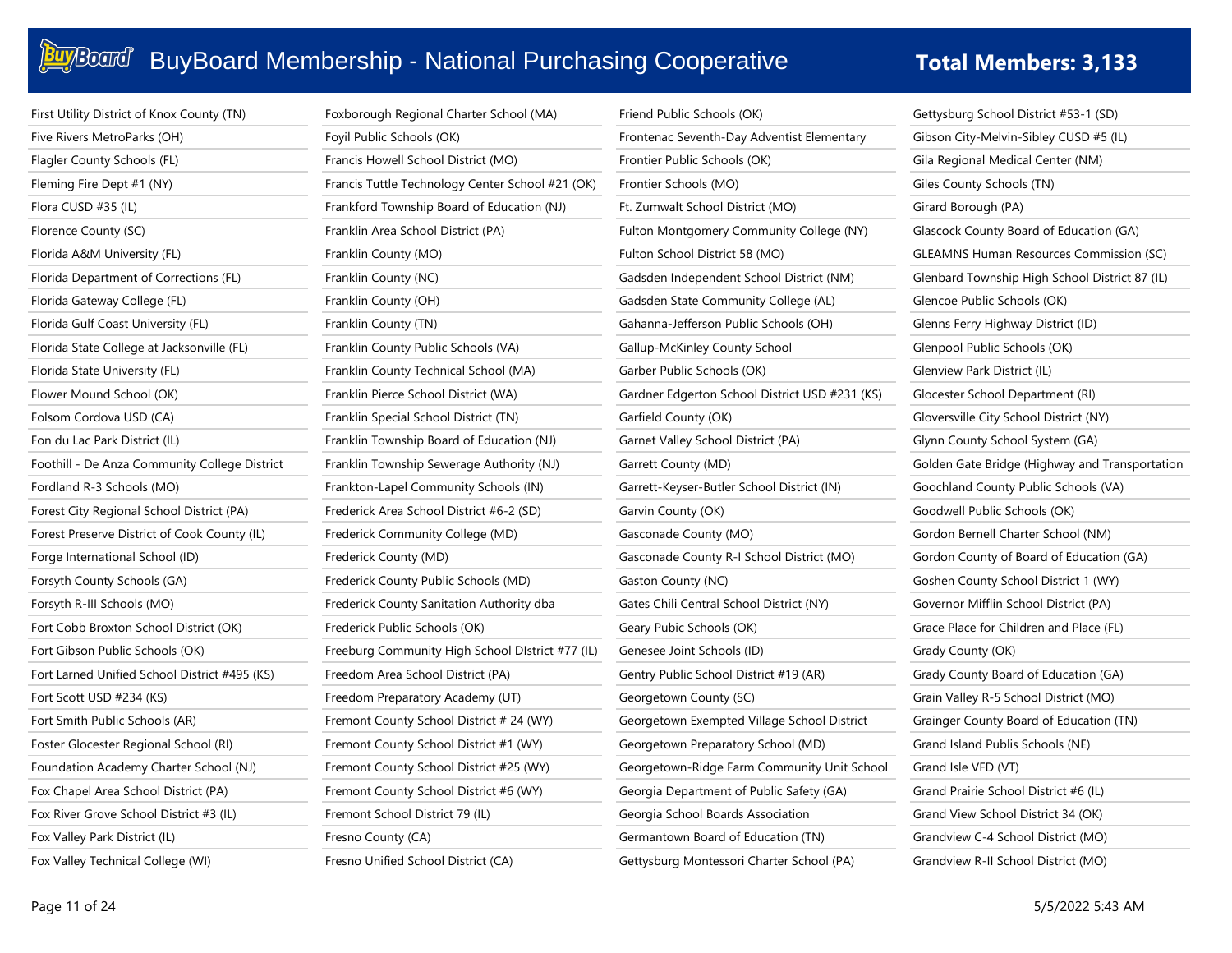| First Utility District of Knox County (TN)    | Foxborough Regional Charter School (MA)          | Friend Public Schools (OK)                     | Gettysburg School District #53-1 (SD)          |
|-----------------------------------------------|--------------------------------------------------|------------------------------------------------|------------------------------------------------|
| Five Rivers MetroParks (OH)                   | Foyil Public Schools (OK)                        | Frontenac Seventh-Day Adventist Elementary     | Gibson City-Melvin-Sibley CUSD #5 (IL)         |
| Flagler County Schools (FL)                   | Francis Howell School District (MO)              | Frontier Public Schools (OK)                   | Gila Regional Medical Center (NM)              |
| Fleming Fire Dept #1 (NY)                     | Francis Tuttle Technology Center School #21 (OK) | Frontier Schools (MO)                          | Giles County Schools (TN)                      |
| Flora CUSD #35 (IL)                           | Frankford Township Board of Education (NJ)       | Ft. Zumwalt School District (MO)               | Girard Borough (PA)                            |
| Florence County (SC)                          | Franklin Area School District (PA)               | Fulton Montgomery Community College (NY)       | Glascock County Board of Education (GA)        |
| Florida A&M University (FL)                   | Franklin County (MO)                             | Fulton School District 58 (MO)                 | <b>GLEAMNS Human Resources Commission (SC)</b> |
| Florida Department of Corrections (FL)        | Franklin County (NC)                             | Gadsden Independent School District (NM)       | Glenbard Township High School District 87 (IL) |
| Florida Gateway College (FL)                  | Franklin County (OH)                             | Gadsden State Community College (AL)           | Glencoe Public Schools (OK)                    |
| Florida Gulf Coast University (FL)            | Franklin County (TN)                             | Gahanna-Jefferson Public Schools (OH)          | Glenns Ferry Highway District (ID)             |
| Florida State College at Jacksonville (FL)    | Franklin County Public Schools (VA)              | Gallup-McKinley County School                  | Glenpool Public Schools (OK)                   |
| Florida State University (FL)                 | Franklin County Technical School (MA)            | Garber Public Schools (OK)                     | Glenview Park District (IL)                    |
| Flower Mound School (OK)                      | Franklin Pierce School District (WA)             | Gardner Edgerton School District USD #231 (KS) | Glocester School Department (RI)               |
| Folsom Cordova USD (CA)                       | Franklin Special School District (TN)            | Garfield County (OK)                           | Gloversville City School District (NY)         |
| Fon du Lac Park District (IL)                 | Franklin Township Board of Education (NJ)        | Garnet Valley School District (PA)             | Glynn County School System (GA)                |
| Foothill - De Anza Community College District | Franklin Township Sewerage Authority (NJ)        | Garrett County (MD)                            | Golden Gate Bridge (Highway and Transportation |
| Fordland R-3 Schools (MO)                     | Frankton-Lapel Community Schools (IN)            | Garrett-Keyser-Butler School District (IN)     | Goochland County Public Schools (VA)           |
| Forest City Regional School District (PA)     | Frederick Area School District #6-2 (SD)         | Garvin County (OK)                             | Goodwell Public Schools (OK)                   |
| Forest Preserve District of Cook County (IL)  | Frederick Community College (MD)                 | Gasconade County (MO)                          | Gordon Bernell Charter School (NM)             |
| Forge International School (ID)               | Frederick County (MD)                            | Gasconade County R-I School District (MO)      | Gordon County of Board of Education (GA)       |
| Forsyth County Schools (GA)                   | Frederick County Public Schools (MD)             | Gaston County (NC)                             | Goshen County School District 1 (WY)           |
| Forsyth R-III Schools (MO)                    | Frederick County Sanitation Authority dba        | Gates Chili Central School District (NY)       | Governor Mifflin School District (PA)          |
| Fort Cobb Broxton School District (OK)        | Frederick Public Schools (OK)                    | Geary Pubic Schools (OK)                       | Grace Place for Children and Place (FL)        |
| Fort Gibson Public Schools (OK)               | Freeburg Community High School District #77 (IL) | Genesee Joint Schools (ID)                     | Grady County (OK)                              |
| Fort Larned Unified School District #495 (KS) | Freedom Area School District (PA)                | Gentry Public School District #19 (AR)         | Grady County Board of Education (GA)           |
| Fort Scott USD #234 (KS)                      | Freedom Preparatory Academy (UT)                 | Georgetown County (SC)                         | Grain Valley R-5 School District (MO)          |
| Fort Smith Public Schools (AR)                | Fremont County School District # 24 (WY)         | Georgetown Exempted Village School District    | Grainger County Board of Education (TN)        |
| Foster Glocester Regional School (RI)         | Fremont County School District #1 (WY)           | Georgetown Preparatory School (MD)             | Grand Island Publis Schools (NE)               |
| Foundation Academy Charter School (NJ)        | Fremont County School District #25 (WY)          | Georgetown-Ridge Farm Community Unit School    | Grand Isle VFD (VT)                            |
| Fox Chapel Area School District (PA)          | Fremont County School District #6 (WY)           | Georgia Department of Public Safety (GA)       | Grand Prairie School District #6 (IL)          |
| Fox River Grove School District #3 (IL)       | Fremont School District 79 (IL)                  | Georgia School Boards Association              | Grand View School District 34 (OK)             |
| Fox Valley Park District (IL)                 | Fresno County (CA)                               | Germantown Board of Education (TN)             | Grandview C-4 School District (MO)             |
| Fox Valley Technical College (WI)             | Fresno Unified School District (CA)              | Gettysburg Montessori Charter School (PA)      | Grandview R-II School District (MO)            |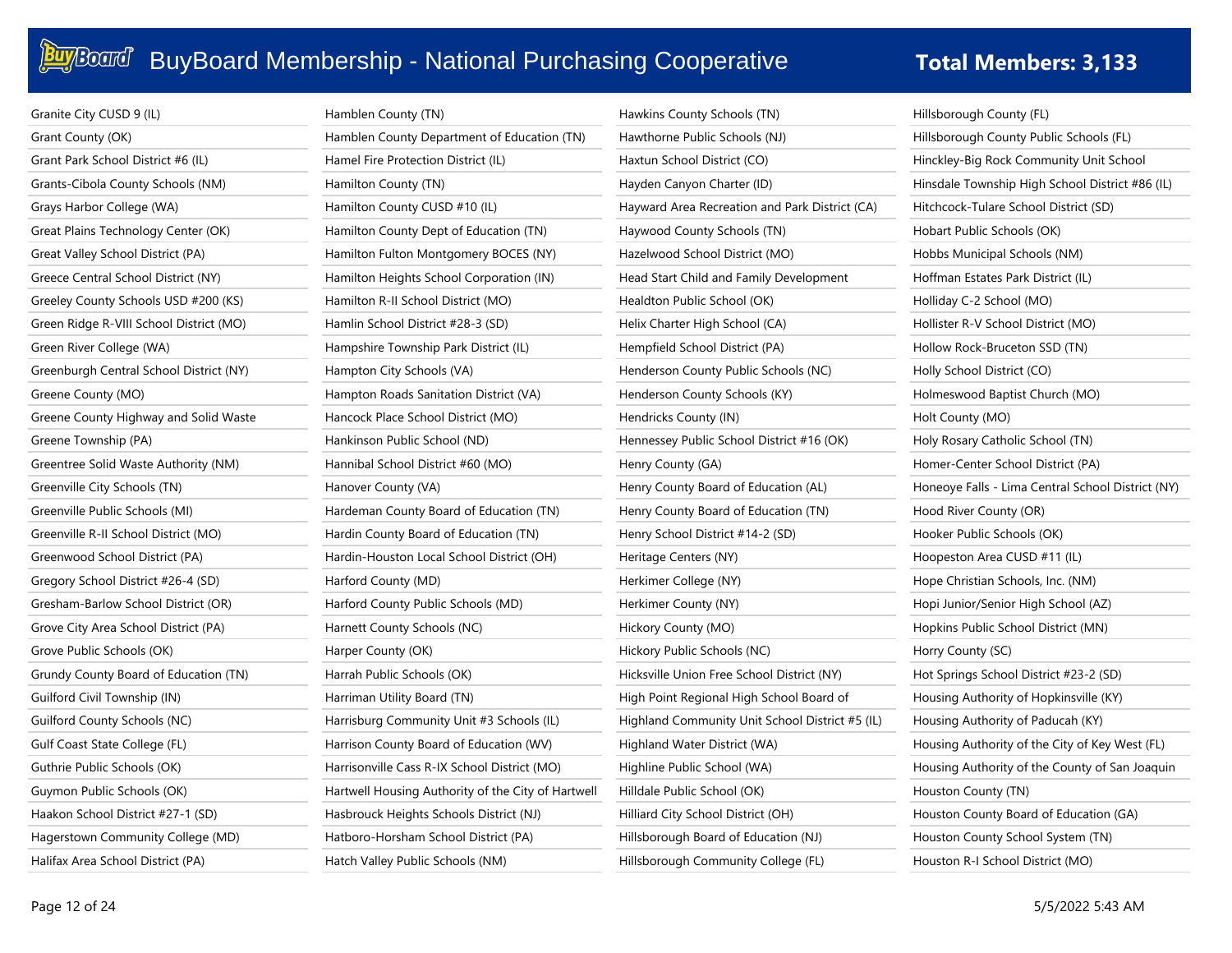### **Buy Board'**

### BuyBoard Membership - National Purchasing Cooperative **Total Members: 3,133**

| Granite City CUSD 9 (IL)                | Hamblen County (TN)                                | Hawkins County Schools (TN)                     |
|-----------------------------------------|----------------------------------------------------|-------------------------------------------------|
| Grant County (OK)                       | Hamblen County Department of Education (TN)        | Hawthorne Public Schools (NJ)                   |
| Grant Park School District #6 (IL)      | Hamel Fire Protection District (IL)                | Haxtun School District (CO)                     |
| Grants-Cibola County Schools (NM)       | Hamilton County (TN)                               | Hayden Canyon Charter (ID)                      |
| Grays Harbor College (WA)               | Hamilton County CUSD #10 (IL)                      | Hayward Area Recreation and Park District (CA)  |
| Great Plains Technology Center (OK)     | Hamilton County Dept of Education (TN)             | Haywood County Schools (TN)                     |
| Great Valley School District (PA)       | Hamilton Fulton Montgomery BOCES (NY)              | Hazelwood School District (MO)                  |
| Greece Central School District (NY)     | Hamilton Heights School Corporation (IN)           | Head Start Child and Family Development         |
| Greeley County Schools USD #200 (KS)    | Hamilton R-II School District (MO)                 | Healdton Public School (OK)                     |
| Green Ridge R-VIII School District (MO) | Hamlin School District #28-3 (SD)                  | Helix Charter High School (CA)                  |
| Green River College (WA)                | Hampshire Township Park District (IL)              | Hempfield School District (PA)                  |
| Greenburgh Central School District (NY) | Hampton City Schools (VA)                          | Henderson County Public Schools (NC)            |
| Greene County (MO)                      | Hampton Roads Sanitation District (VA)             | Henderson County Schools (KY)                   |
| Greene County Highway and Solid Waste   | Hancock Place School District (MO)                 | Hendricks County (IN)                           |
| Greene Township (PA)                    | Hankinson Public School (ND)                       | Hennessey Public School District #16 (OK)       |
| Greentree Solid Waste Authority (NM)    | Hannibal School District #60 (MO)                  | Henry County (GA)                               |
| Greenville City Schools (TN)            | Hanover County (VA)                                | Henry County Board of Education (AL)            |
| Greenville Public Schools (MI)          | Hardeman County Board of Education (TN)            | Henry County Board of Education (TN)            |
| Greenville R-II School District (MO)    | Hardin County Board of Education (TN)              | Henry School District #14-2 (SD)                |
| Greenwood School District (PA)          | Hardin-Houston Local School District (OH)          | Heritage Centers (NY)                           |
| Gregory School District #26-4 (SD)      | Harford County (MD)                                | Herkimer College (NY)                           |
| Gresham-Barlow School District (OR)     | Harford County Public Schools (MD)                 | Herkimer County (NY)                            |
| Grove City Area School District (PA)    | Harnett County Schools (NC)                        | Hickory County (MO)                             |
| Grove Public Schools (OK)               | Harper County (OK)                                 | Hickory Public Schools (NC)                     |
| Grundy County Board of Education (TN)   | Harrah Public Schools (OK)                         | Hicksville Union Free School District (NY)      |
| Guilford Civil Township (IN)            | Harriman Utility Board (TN)                        | High Point Regional High School Board of        |
| Guilford County Schools (NC)            | Harrisburg Community Unit #3 Schools (IL)          | Highland Community Unit School District #5 (IL) |
| Gulf Coast State College (FL)           | Harrison County Board of Education (WV)            | Highland Water District (WA)                    |
| Guthrie Public Schools (OK)             | Harrisonville Cass R-IX School District (MO)       | Highline Public School (WA)                     |
| Guymon Public Schools (OK)              | Hartwell Housing Authority of the City of Hartwell | Hilldale Public School (OK)                     |
| Haakon School District #27-1 (SD)       | Hasbrouck Heights Schools District (NJ)            | Hilliard City School District (OH)              |
| Hagerstown Community College (MD)       | Hatboro-Horsham School District (PA)               | Hillsborough Board of Education (NJ)            |
| Halifax Area School District (PA)       | Hatch Valley Public Schools (NM)                   | Hillsborough Community College (FL)             |

Hillsborough County (FL) Hillsborough County Public Schools (FL) Hinckley-Big Rock Community Unit School Hinsdale Township High School District #86 (IL) Hitchcock-Tulare School District (SD) Hobart Public Schools (OK) Hobbs Municipal Schools (NM) Hoffman Estates Park District (IL) Holliday C-2 School (MO) Hollister R-V School District (MO) Hollow Rock-Bruceton SSD (TN) Holly School District (CO) Holmeswood Baptist Church (MO) Holt County (MO) Holy Rosary Catholic School (TN) Homer-Center School District (PA) Honeoye Falls - Lima Central School District (NY) Hood River County (OR) Hooker Public Schools (OK) Hoopeston Area CUSD #11 (IL) Hope Christian Schools, Inc. (NM) Hopi Junior/Senior High School (AZ) Hopkins Public School District (MN) Horry County (SC) Hot Springs School District #23-2 (SD) Housing Authority of Hopkinsville (KY) Housing Authority of Paducah (KY) Housing Authority of the City of Key West (FL) Housing Authority of the County of San Joaquin Houston County (TN) Houston County Board of Education (GA) Houston County School System (TN) Houston R-I School District (MO)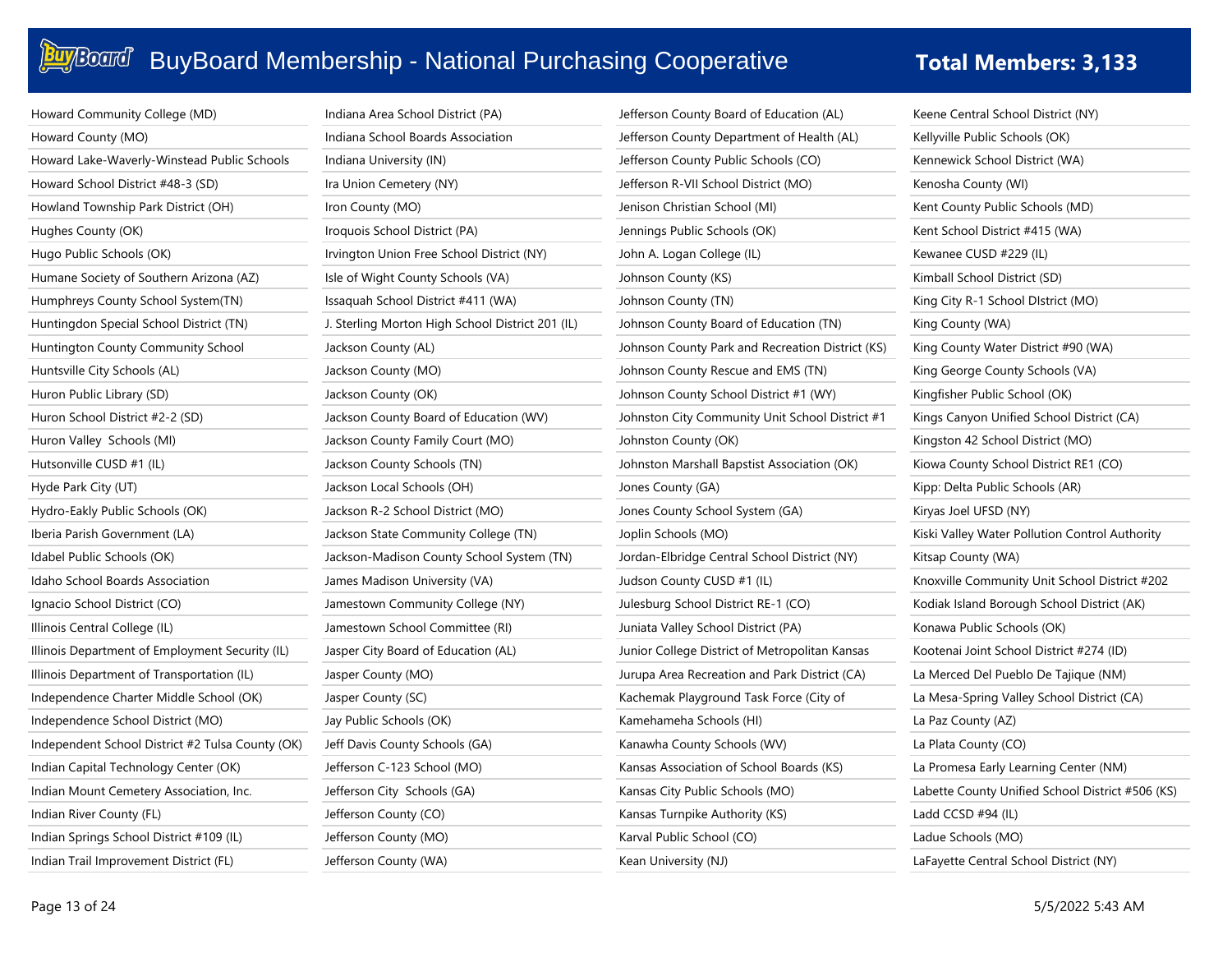| Howard Community College (MD)                    | Indiana Area School District (PA)          |
|--------------------------------------------------|--------------------------------------------|
| Howard County (MO)                               | Indiana School Boards Association          |
| Howard Lake-Waverly-Winstead Public Schools      | Indiana University (IN)                    |
| Howard School District #48-3 (SD)                | Ira Union Cemetery (NY)                    |
| Howland Township Park District (OH)              | Iron County (MO)                           |
| Hughes County (OK)                               | Iroquois School District (PA)              |
| Hugo Public Schools (OK)                         | Irvington Union Free School District (NY)  |
| Humane Society of Southern Arizona (AZ)          | Isle of Wight County Schools (VA)          |
| Humphreys County School System(TN)               | Issaquah School District #411 (WA)         |
| Huntingdon Special School District (TN)          | J. Sterling Morton High School District 20 |
| Huntington County Community School               | Jackson County (AL)                        |
| Huntsville City Schools (AL)                     | Jackson County (MO)                        |
| Huron Public Library (SD)                        | Jackson County (OK)                        |
| Huron School District #2-2 (SD)                  | Jackson County Board of Education (WV)     |
| Huron Valley Schools (MI)                        | Jackson County Family Court (MO)           |
| Hutsonville CUSD #1 (IL)                         | Jackson County Schools (TN)                |
| Hyde Park City (UT)                              | Jackson Local Schools (OH)                 |
| Hydro-Eakly Public Schools (OK)                  | Jackson R-2 School District (MO)           |
| Iberia Parish Government (LA)                    | Jackson State Community College (TN)       |
| Idabel Public Schools (OK)                       | Jackson-Madison County School System (     |
| Idaho School Boards Association                  | James Madison University (VA)              |
| Ignacio School District (CO)                     | Jamestown Community College (NY)           |
| Illinois Central College (IL)                    | Jamestown School Committee (RI)            |
| Illinois Department of Employment Security (IL)  | Jasper City Board of Education (AL)        |
| Illinois Department of Transportation (IL)       | Jasper County (MO)                         |
| Independence Charter Middle School (OK)          | Jasper County (SC)                         |
| Independence School District (MO)                | Jay Public Schools (OK)                    |
| Independent School District #2 Tulsa County (OK) | Jeff Davis County Schools (GA)             |
| Indian Capital Technology Center (OK)            | Jefferson C-123 School (MO)                |
| Indian Mount Cemetery Association, Inc.          | Jefferson City Schools (GA)                |
| Indian River County (FL)                         | Jefferson County (CO)                      |
| Indian Springs School District #109 (IL)         | Jefferson County (MO)                      |
| Indian Trail Improvement District (FL)           | Jefferson County (WA)                      |

| PA)                  | Jefferson County Board of Education (AL)         |
|----------------------|--------------------------------------------------|
| iation               | Jefferson County Department of Health (AL)       |
|                      | Jefferson County Public Schools (CO)             |
|                      | Jefferson R-VII School District (MO)             |
|                      | Jenison Christian School (MI)                    |
|                      | Jennings Public Schools (OK)                     |
| District (NY)        | John A. Logan College (IL)                       |
| (VA)                 | Johnson County (KS)                              |
| l (WA)               | Johnson County (TN)                              |
| ol District 201 (IL) | Johnson County Board of Education (TN)           |
|                      | Johnson County Park and Recreation District (KS) |
|                      | Johnson County Rescue and EMS (TN)               |
|                      | Johnson County School District #1 (WY)           |
| cation (WV)          | Johnston City Community Unit School District #1  |
| (MO)                 | Johnston County (OK)                             |
|                      | Johnston Marshall Bapstist Association (OK)      |
|                      | Jones County (GA)                                |
| (ON                  | Jones County School System (GA)                  |
| llege (TN)           | Joplin Schools (MO)                              |
| ool System (TN)      | Jordan-Elbridge Central School District (NY)     |
| A)                   | Judson County CUSD #1 (IL)                       |
| ge (NY)              | Julesburg School District RE-1 (CO)              |
| e (RI)               | Juniata Valley School District (PA)              |
| ın (AL)              | Junior College District of Metropolitan Kansas   |
|                      | Jurupa Area Recreation and Park District (CA)    |
|                      | Kachemak Playground Task Force (City of          |
|                      | Kamehameha Schools (HI)                          |
| 4)                   | Kanawha County Schools (WV)                      |
|                      | Kansas Association of School Boards (KS)         |
|                      | Kansas City Public Schools (MO)                  |
|                      | Kansas Turnpike Authority (KS)                   |
|                      | Karval Public School (CO)                        |
|                      | Kean University (NJ)                             |

Keene Central School District (NY) Kellyville Public Schools (OK) Kennewick School District (WA) Kenosha County (WI) Kent County Public Schools (MD) Kent School District #415 (WA) Kewanee CUSD #229 (IL) Kimball School District (SD) King City R-1 School DIstrict (MO) King County (WA) King County Water District #90 (WA) King George County Schools (VA) Kingfisher Public School (OK) Kings Canyon Unified School District (CA) Kingston 42 School District (MO) Kiowa County School District RE1 (CO) Kipp: Delta Public Schools (AR) Kiryas Joel UFSD (NY) Kiski Valley Water Pollution Control Authority Kitsap County (WA) Knoxville Community Unit School District #202 Kodiak Island Borough School District (AK) Konawa Public Schools (OK) Kootenai Joint School District #274 (ID) La Merced Del Pueblo De Tajique (NM) La Mesa-Spring Valley School District (CA) La Paz County (AZ) La Plata County (CO) La Promesa Early Learning Center (NM) Labette County Unified School District #506 (KS) Ladd CCSD #94 (IL) Ladue Schools (MO) LaFayette Central School District (NY)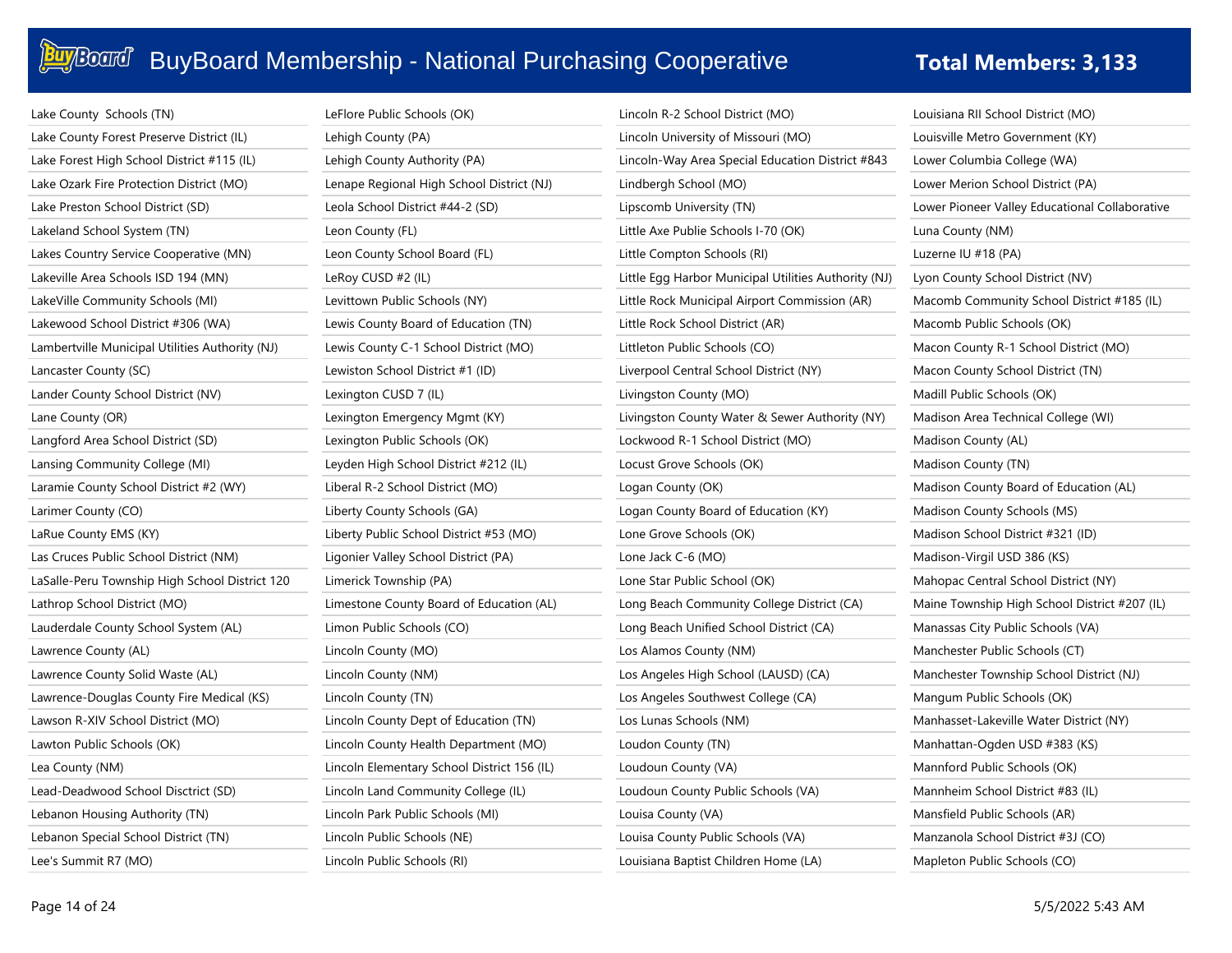| Lake County Schools (TN)                        | LeFlore Public Schools (OK)                 | Lincoln R-2 School District (MO)                     | Louisiana RII School District (MO)             |
|-------------------------------------------------|---------------------------------------------|------------------------------------------------------|------------------------------------------------|
| Lake County Forest Preserve District (IL)       | Lehigh County (PA)                          | Lincoln University of Missouri (MO)                  | Louisville Metro Government (KY)               |
| Lake Forest High School District #115 (IL)      | Lehigh County Authority (PA)                | Lincoln-Way Area Special Education District #843     | Lower Columbia College (WA)                    |
| Lake Ozark Fire Protection District (MO)        | Lenape Regional High School District (NJ)   | Lindbergh School (MO)                                | Lower Merion School District (PA)              |
| Lake Preston School District (SD)               | Leola School District #44-2 (SD)            | Lipscomb University (TN)                             | Lower Pioneer Valley Educational Collaborative |
| Lakeland School System (TN)                     | Leon County (FL)                            | Little Axe Publie Schools I-70 (OK)                  | Luna County (NM)                               |
| Lakes Country Service Cooperative (MN)          | Leon County School Board (FL)               | Little Compton Schools (RI)                          | Luzerne IU #18 (PA)                            |
| Lakeville Area Schools ISD 194 (MN)             | LeRoy CUSD #2 (IL)                          | Little Egg Harbor Municipal Utilities Authority (NJ) | Lyon County School District (NV)               |
| LakeVille Community Schools (MI)                | Levittown Public Schools (NY)               | Little Rock Municipal Airport Commission (AR)        | Macomb Community School District #185 (IL)     |
| Lakewood School District #306 (WA)              | Lewis County Board of Education (TN)        | Little Rock School District (AR)                     | Macomb Public Schools (OK)                     |
| Lambertville Municipal Utilities Authority (NJ) | Lewis County C-1 School District (MO)       | Littleton Public Schools (CO)                        | Macon County R-1 School District (MO)          |
| Lancaster County (SC)                           | Lewiston School District #1 (ID)            | Liverpool Central School District (NY)               | Macon County School District (TN)              |
| Lander County School District (NV)              | Lexington CUSD 7 (IL)                       | Livingston County (MO)                               | Madill Public Schools (OK)                     |
| Lane County (OR)                                | Lexington Emergency Mgmt (KY)               | Livingston County Water & Sewer Authority (NY)       | Madison Area Technical College (WI)            |
| Langford Area School District (SD)              | Lexington Public Schools (OK)               | Lockwood R-1 School District (MO)                    | Madison County (AL)                            |
| Lansing Community College (MI)                  | Leyden High School District #212 (IL)       | Locust Grove Schools (OK)                            | Madison County (TN)                            |
| Laramie County School District #2 (WY)          | Liberal R-2 School District (MO)            | Logan County (OK)                                    | Madison County Board of Education (AL)         |
| Larimer County (CO)                             | Liberty County Schools (GA)                 | Logan County Board of Education (KY)                 | Madison County Schools (MS)                    |
| LaRue County EMS (KY)                           | Liberty Public School District #53 (MO)     | Lone Grove Schools (OK)                              | Madison School District #321 (ID)              |
| Las Cruces Public School District (NM)          | Ligonier Valley School District (PA)        | Lone Jack C-6 (MO)                                   | Madison-Virgil USD 386 (KS)                    |
| LaSalle-Peru Township High School District 120  | Limerick Township (PA)                      | Lone Star Public School (OK)                         | Mahopac Central School District (NY)           |
| Lathrop School District (MO)                    | Limestone County Board of Education (AL)    | Long Beach Community College District (CA)           | Maine Township High School District #207 (IL)  |
| Lauderdale County School System (AL)            | Limon Public Schools (CO)                   | Long Beach Unified School District (CA)              | Manassas City Public Schools (VA)              |
| Lawrence County (AL)                            | Lincoln County (MO)                         | Los Alamos County (NM)                               | Manchester Public Schools (CT)                 |
| Lawrence County Solid Waste (AL)                | Lincoln County (NM)                         | Los Angeles High School (LAUSD) (CA)                 | Manchester Township School District (NJ)       |
| Lawrence-Douglas County Fire Medical (KS)       | Lincoln County (TN)                         | Los Angeles Southwest College (CA)                   | Mangum Public Schools (OK)                     |
| Lawson R-XIV School District (MO)               | Lincoln County Dept of Education (TN)       | Los Lunas Schools (NM)                               | Manhasset-Lakeville Water District (NY)        |
| Lawton Public Schools (OK)                      | Lincoln County Health Department (MO)       | Loudon County (TN)                                   | Manhattan-Ogden USD #383 (KS)                  |
| Lea County (NM)                                 | Lincoln Elementary School District 156 (IL) | Loudoun County (VA)                                  | Mannford Public Schools (OK)                   |
| Lead-Deadwood School Disctrict (SD)             | Lincoln Land Community College (IL)         | Loudoun County Public Schools (VA)                   | Mannheim School District #83 (IL)              |
| Lebanon Housing Authority (TN)                  | Lincoln Park Public Schools (MI)            | Louisa County (VA)                                   | Mansfield Public Schools (AR)                  |
| Lebanon Special School District (TN)            | Lincoln Public Schools (NE)                 | Louisa County Public Schools (VA)                    | Manzanola School District #3J (CO)             |
| Lee's Summit R7 (MO)                            | Lincoln Public Schools (RI)                 | Louisiana Baptist Children Home (LA)                 | Mapleton Public Schools (CO)                   |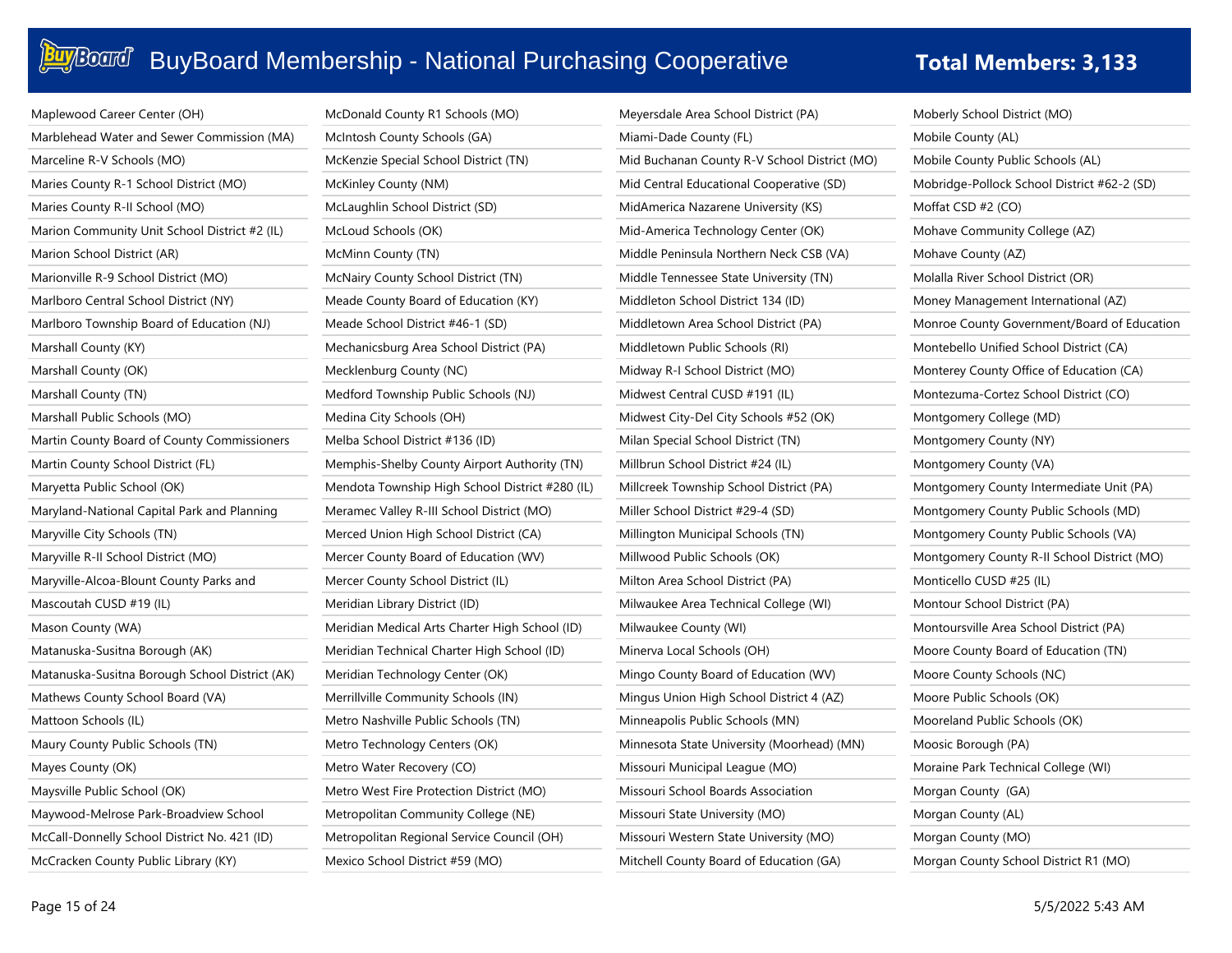| Maplewood Career Center (OH)                   | McDonald County R1 Schools (MO)                 |
|------------------------------------------------|-------------------------------------------------|
| Marblehead Water and Sewer Commission (MA)     | McIntosh County Schools (GA)                    |
| Marceline R-V Schools (MO)                     | McKenzie Special School District (TN)           |
| Maries County R-1 School District (MO)         | McKinley County (NM)                            |
| Maries County R-II School (MO)                 | McLaughlin School District (SD)                 |
| Marion Community Unit School District #2 (IL)  | McLoud Schools (OK)                             |
| Marion School District (AR)                    | McMinn County (TN)                              |
| Marionville R-9 School District (MO)           | McNairy County School District (TN)             |
| Marlboro Central School District (NY)          | Meade County Board of Education (KY)            |
| Marlboro Township Board of Education (NJ)      | Meade School District #46-1 (SD)                |
| Marshall County (KY)                           | Mechanicsburg Area School District (PA)         |
| Marshall County (OK)                           | Mecklenburg County (NC)                         |
| Marshall County (TN)                           | Medford Township Public Schools (NJ)            |
| Marshall Public Schools (MO)                   | Medina City Schools (OH)                        |
| Martin County Board of County Commissioners    | Melba School District #136 (ID)                 |
| Martin County School District (FL)             | Memphis-Shelby County Airport Authority (TN)    |
| Maryetta Public School (OK)                    | Mendota Township High School District #280 (IL) |
| Maryland-National Capital Park and Planning    | Meramec Valley R-III School District (MO)       |
| Maryville City Schools (TN)                    | Merced Union High School District (CA)          |
| Maryville R-II School District (MO)            | Mercer County Board of Education (WV)           |
| Maryville-Alcoa-Blount County Parks and        | Mercer County School District (IL)              |
| Mascoutah CUSD #19 (IL)                        | Meridian Library District (ID)                  |
| Mason County (WA)                              | Meridian Medical Arts Charter High School (ID)  |
| Matanuska-Susitna Borough (AK)                 | Meridian Technical Charter High School (ID)     |
| Matanuska-Susitna Borough School District (AK) | Meridian Technology Center (OK)                 |
| Mathews County School Board (VA)               | Merrillville Community Schools (IN)             |
| Mattoon Schools (IL)                           | Metro Nashville Public Schools (TN)             |
| Maury County Public Schools (TN)               | Metro Technology Centers (OK)                   |
| Mayes County (OK)                              | Metro Water Recovery (CO)                       |
| Maysville Public School (OK)                   | Metro West Fire Protection District (MO)        |
| Maywood-Melrose Park-Broadview School          | Metropolitan Community College (NE)             |
| McCall-Donnelly School District No. 421 (ID)   | Metropolitan Regional Service Council (OH)      |
| McCracken County Public Library (KY)           | Mexico School District #59 (MO)                 |

Meyersdale Area School District (PA) Miami-Dade County (FL) Mid Buchanan County R-V School District (MO) Mid Central Educational Cooperative (SD) MidAmerica Nazarene University (KS) Mid-America Technology Center (OK) Middle Peninsula Northern Neck CSB (VA) Middle Tennessee State University (TN) Middleton School District 134 (ID) Middletown Area School District (PA) Middletown Public Schools (RI) Midway R-I School District (MO) Midwest Central CUSD #191 (IL) Midwest City-Del City Schools #52 (OK) Milan Special School District (TN) Millbrun School District #24 (IL) Millcreek Township School District (PA) Miller School District #29-4 (SD) Millington Municipal Schools (TN) Millwood Public Schools (OK) Milton Area School District (PA) Milwaukee Area Technical College (WI) Milwaukee County (WI) Minerva Local Schools (OH) Mingo County Board of Education (WV) Mingus Union High School District 4 (AZ) Minneapolis Public Schools (MN) Minnesota State University (Moorhead) (MN) Missouri Municipal League (MO) Missouri School Boards Association Missouri State University (MO) Missouri Western State University (MO) Mitchell County Board of Education (GA)

Moberly School District (MO) Mobile County (AL) Mobile County Public Schools (AL) Mobridge-Pollock School District #62-2 (SD) Moffat CSD #2 (CO) Mohave Community College (AZ) Mohave County (AZ) Molalla River School District (OR) Money Management International (AZ) Monroe County Government/Board of Education Montebello Unified School District (CA) Monterey County Office of Education (CA) Montezuma-Cortez School District (CO) Montgomery College (MD) Montgomery County (NY) Montgomery County (VA) Montgomery County Intermediate Unit (PA) Montgomery County Public Schools (MD) Montgomery County Public Schools (VA) Montgomery County R-II School District (MO) Monticello CUSD #25 (IL) Montour School District (PA) Montoursville Area School District (PA) Moore County Board of Education (TN) Moore County Schools (NC) Moore Public Schools (OK) Mooreland Public Schools (OK) Moosic Borough (PA) Moraine Park Technical College (WI) Morgan County (GA) Morgan County (AL) Morgan County (MO) Morgan County School District R1 (MO)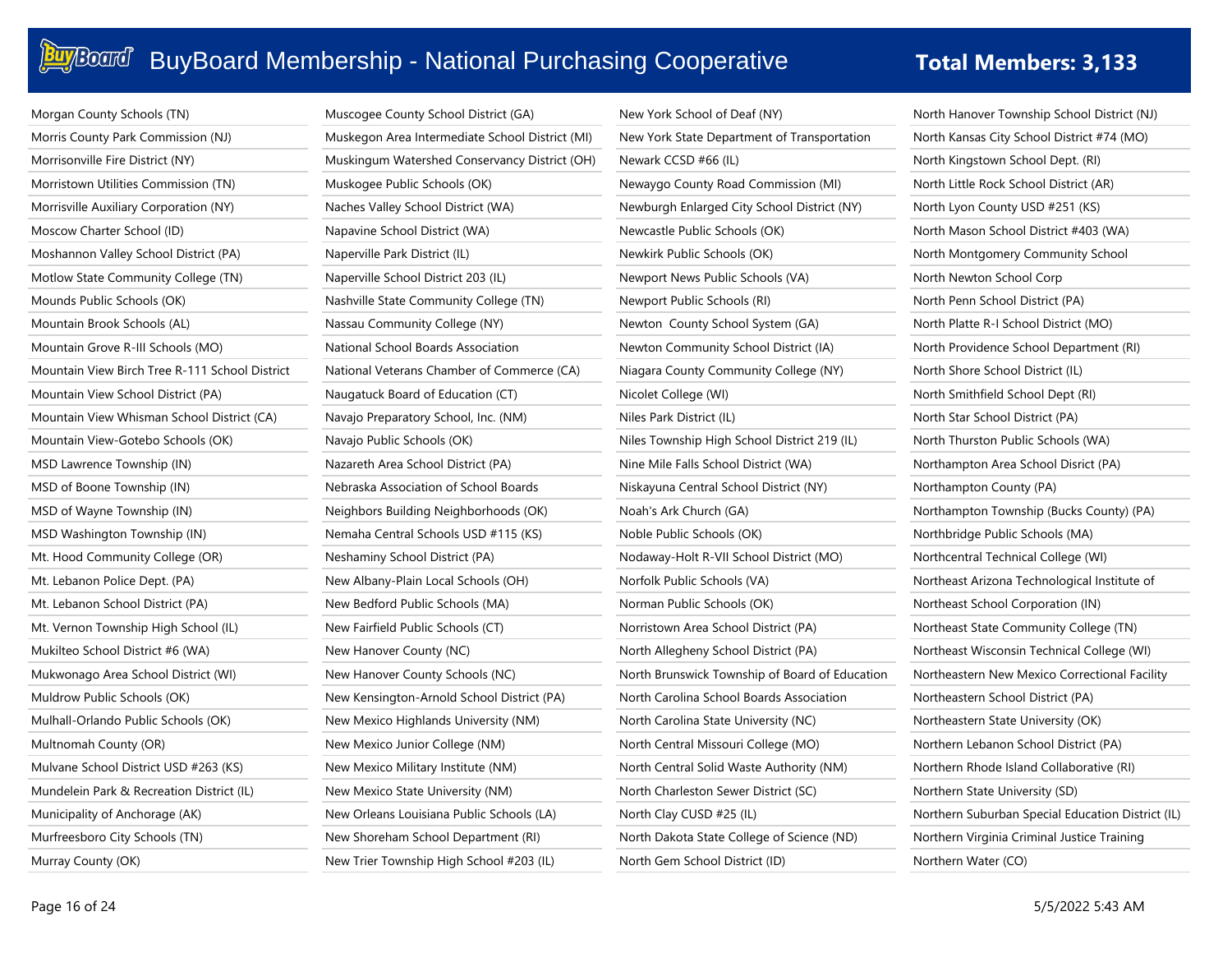| Morgan County Schools (TN)                     |
|------------------------------------------------|
| Morris County Park Commission (NJ)             |
| Morrisonville Fire District (NY)               |
| Morristown Utilities Commission (TN)           |
| Morrisville Auxiliary Corporation (NY)         |
| Moscow Charter School (ID)                     |
| Moshannon Valley School District (PA)          |
| Motlow State Community College (TN)            |
| Mounds Public Schools (OK)                     |
| Mountain Brook Schools (AL)                    |
| Mountain Grove R-III Schools (MO)              |
| Mountain View Birch Tree R-111 School District |
| Mountain View School District (PA)             |
| Mountain View Whisman School District (CA)     |
| Mountain View-Gotebo Schools (OK)              |
| MSD Lawrence Township (IN)                     |
| MSD of Boone Township (IN)                     |
| MSD of Wayne Township (IN)                     |
| MSD Washington Township (IN)                   |
| Mt. Hood Community College (OR)                |
| Mt. Lebanon Police Dept. (PA)                  |
| Mt. Lebanon School District (PA)               |
| Mt. Vernon Township High School (IL)           |
| Mukilteo School District #6 (WA)               |
| Mukwonago Area School District (WI)            |
| Muldrow Public Schools (OK)                    |
| Mulhall-Orlando Public Schools (OK)            |
| Multnomah County (OR)                          |
| Mulvane School District USD #263 (KS)          |
| Mundelein Park & Recreation District (IL)      |
| Municipality of Anchorage (AK)                 |
| Murfreesboro City Schools (TN)                 |
| Murray County (OK)                             |

| Muscogee County School District (GA)            |
|-------------------------------------------------|
| Muskegon Area Intermediate School District (MI) |
| Muskingum Watershed Conservancy District (OH)   |
| Muskogee Public Schools (OK)                    |
| Naches Valley School District (WA)              |
| Napavine School District (WA)                   |
| Naperville Park District (IL)                   |
| Naperville School District 203 (IL)             |
| Nashville State Community College (TN)          |
| Nassau Community College (NY)                   |
| National School Boards Association              |
| National Veterans Chamber of Commerce (CA)      |
| Naugatuck Board of Education (CT)               |
| Navajo Preparatory School, Inc. (NM)            |
| Navajo Public Schools (OK)                      |
| Nazareth Area School District (PA)              |
| Nebraska Association of School Boards           |
| Neighbors Building Neighborhoods (OK)           |
| Nemaha Central Schools USD #115 (KS)            |
| Neshaminy School District (PA)                  |
| New Albany-Plain Local Schools (OH)             |
| New Bedford Public Schools (MA)                 |
| New Fairfield Public Schools (CT)               |
| New Hanover County (NC)                         |
| New Hanover County Schools (NC)                 |
| New Kensington-Arnold School District (PA)      |
| New Mexico Highlands University (NM)            |
| New Mexico Junior College (NM)                  |
| New Mexico Military Institute (NM)              |
| New Mexico State University (NM)                |
| New Orleans Louisiana Public Schools (LA)       |
| New Shoreham School Department (RI)             |
| New Trier Township High School #203 (IL)        |

New York School of Deaf (NY) New York State Department of Transportation Newark CCSD #66 (IL) Newaygo County Road Commission (MI) Newburgh Enlarged City School District (NY) Newcastle Public Schools (OK) Newkirk Public Schools (OK) Newport News Public Schools (VA) Newport Public Schools (RI) Newton County School System (GA) Newton Community School District (IA) Niagara County Community College (NY) Nicolet College (WI) Niles Park District (IL) Niles Township High School District 219 (IL) Nine Mile Falls School District (WA) Niskayuna Central School District (NY) Noah's Ark Church (GA) Noble Public Schools (OK) Nodaway-Holt R-VII School District (MO) Norfolk Public Schools (VA) Norman Public Schools (OK) Norristown Area School District (PA) North Allegheny School District (PA) North Brunswick Township of Board of Education North Carolina School Boards Association North Carolina State University (NC) North Central Missouri College (MO) North Central Solid Waste Authority (NM) North Charleston Sewer District (SC) North Clay CUSD #25 (IL) North Dakota State College of Science (ND) North Gem School District (ID)

North Hanover Township School District (NJ) North Kansas City School District #74 (MO) North Kingstown School Dept. (RI) North Little Rock School District (AR) North Lyon County USD #251 (KS) North Mason School District #403 (WA) North Montgomery Community School North Newton School Corp North Penn School District (PA) North Platte R-I School District (MO) North Providence School Department (RI) North Shore School District (IL) North Smithfield School Dept (RI) North Star School District (PA) North Thurston Public Schools (WA) Northampton Area School Disrict (PA) Northampton County (PA) Northampton Township (Bucks County) (PA) Northbridge Public Schools (MA) Northcentral Technical College (WI) Northeast Arizona Technological Institute of Northeast School Corporation (IN) Northeast State Community College (TN) Northeast Wisconsin Technical College (WI) Northeastern New Mexico Correctional Facility Northeastern School District (PA) Northeastern State University (OK) Northern Lebanon School District (PA) Northern Rhode Island Collaborative (RI) Northern State University (SD) Northern Suburban Special Education District (IL) Northern Virginia Criminal Justice Training Northern Water (CO)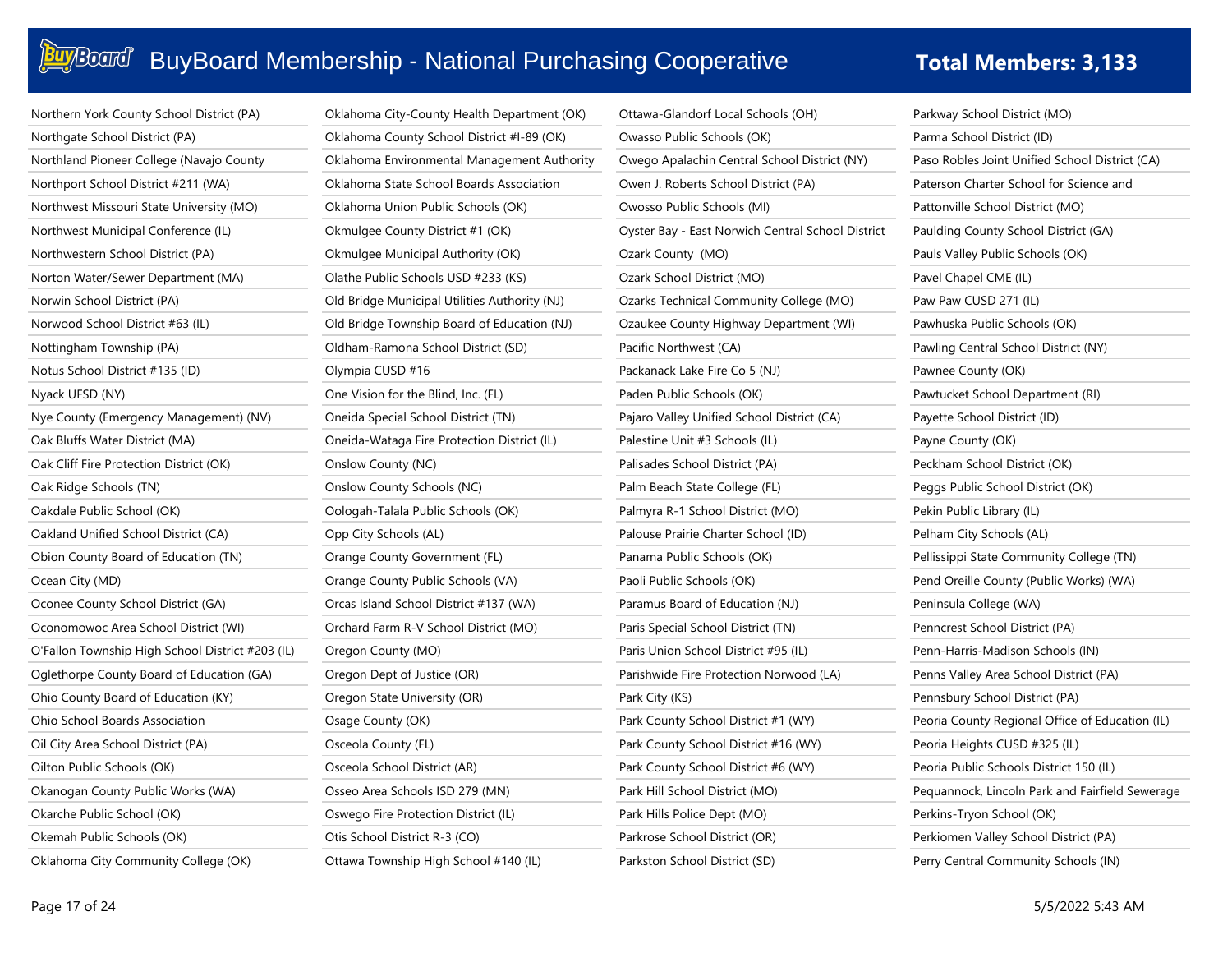| Northern York County School District (PA)        | Oklahoma City-County Health Department (OK)   | Ottawa-Glandorf Local Schools (OH)                | Parkway School District (MO)                    |
|--------------------------------------------------|-----------------------------------------------|---------------------------------------------------|-------------------------------------------------|
| Northgate School District (PA)                   | Oklahoma County School District #I-89 (OK)    | Owasso Public Schools (OK)                        | Parma School District (ID)                      |
| Northland Pioneer College (Navajo County         | Oklahoma Environmental Management Authority   | Owego Apalachin Central School District (NY)      | Paso Robles Joint Unified School District (CA)  |
| Northport School District #211 (WA)              | Oklahoma State School Boards Association      | Owen J. Roberts School District (PA)              | Paterson Charter School for Science and         |
| Northwest Missouri State University (MO)         | Oklahoma Union Public Schools (OK)            | Owosso Public Schools (MI)                        | Pattonville School District (MO)                |
| Northwest Municipal Conference (IL)              | Okmulgee County District #1 (OK)              | Oyster Bay - East Norwich Central School District | Paulding County School District (GA)            |
| Northwestern School District (PA)                | Okmulgee Municipal Authority (OK)             | Ozark County (MO)                                 | Pauls Valley Public Schools (OK)                |
| Norton Water/Sewer Department (MA)               | Olathe Public Schools USD #233 (KS)           | Ozark School District (MO)                        | Pavel Chapel CME (IL)                           |
| Norwin School District (PA)                      | Old Bridge Municipal Utilities Authority (NJ) | Ozarks Technical Community College (MO)           | Paw Paw CUSD 271 (IL)                           |
| Norwood School District #63 (IL)                 | Old Bridge Township Board of Education (NJ)   | Ozaukee County Highway Department (WI)            | Pawhuska Public Schools (OK)                    |
| Nottingham Township (PA)                         | Oldham-Ramona School District (SD)            | Pacific Northwest (CA)                            | Pawling Central School District (NY)            |
| Notus School District #135 (ID)                  | Olympia CUSD #16                              | Packanack Lake Fire Co 5 (NJ)                     | Pawnee County (OK)                              |
| Nyack UFSD (NY)                                  | One Vision for the Blind, Inc. (FL)           | Paden Public Schools (OK)                         | Pawtucket School Department (RI)                |
| Nye County (Emergency Management) (NV)           | Oneida Special School District (TN)           | Pajaro Valley Unified School District (CA)        | Payette School District (ID)                    |
| Oak Bluffs Water District (MA)                   | Oneida-Wataga Fire Protection District (IL)   | Palestine Unit #3 Schools (IL)                    | Payne County (OK)                               |
| Oak Cliff Fire Protection District (OK)          | Onslow County (NC)                            | Palisades School District (PA)                    | Peckham School District (OK)                    |
| Oak Ridge Schools (TN)                           | Onslow County Schools (NC)                    | Palm Beach State College (FL)                     | Peggs Public School District (OK)               |
| Oakdale Public School (OK)                       | Oologah-Talala Public Schools (OK)            | Palmyra R-1 School District (MO)                  | Pekin Public Library (IL)                       |
| Oakland Unified School District (CA)             | Opp City Schools (AL)                         | Palouse Prairie Charter School (ID)               | Pelham City Schools (AL)                        |
| Obion County Board of Education (TN)             | Orange County Government (FL)                 | Panama Public Schools (OK)                        | Pellissippi State Community College (TN)        |
| Ocean City (MD)                                  | Orange County Public Schools (VA)             | Paoli Public Schools (OK)                         | Pend Oreille County (Public Works) (WA)         |
| Oconee County School District (GA)               | Orcas Island School District #137 (WA)        | Paramus Board of Education (NJ)                   | Peninsula College (WA)                          |
| Oconomowoc Area School District (WI)             | Orchard Farm R-V School District (MO)         | Paris Special School District (TN)                | Penncrest School District (PA)                  |
| O'Fallon Township High School District #203 (IL) | Oregon County (MO)                            | Paris Union School District #95 (IL)              | Penn-Harris-Madison Schools (IN)                |
| Oglethorpe County Board of Education (GA)        | Oregon Dept of Justice (OR)                   | Parishwide Fire Protection Norwood (LA)           | Penns Valley Area School District (PA)          |
| Ohio County Board of Education (KY)              | Oregon State University (OR)                  | Park City (KS)                                    | Pennsbury School District (PA)                  |
| Ohio School Boards Association                   | Osage County (OK)                             | Park County School District #1 (WY)               | Peoria County Regional Office of Education (IL) |
| Oil City Area School District (PA)               | Osceola County (FL)                           | Park County School District #16 (WY)              | Peoria Heights CUSD #325 (IL)                   |
| Oilton Public Schools (OK)                       | Osceola School District (AR)                  | Park County School District #6 (WY)               | Peoria Public Schools District 150 (IL)         |
| Okanogan County Public Works (WA)                | Osseo Area Schools ISD 279 (MN)               | Park Hill School District (MO)                    | Pequannock, Lincoln Park and Fairfield Sewerage |
| Okarche Public School (OK)                       | Oswego Fire Protection District (IL)          | Park Hills Police Dept (MO)                       | Perkins-Tryon School (OK)                       |
| Okemah Public Schools (OK)                       | Otis School District R-3 (CO)                 | Parkrose School District (OR)                     | Perkiomen Valley School District (PA)           |
| Oklahoma City Community College (OK)             | Ottawa Township High School #140 (IL)         | Parkston School District (SD)                     | Perry Central Community Schools (IN)            |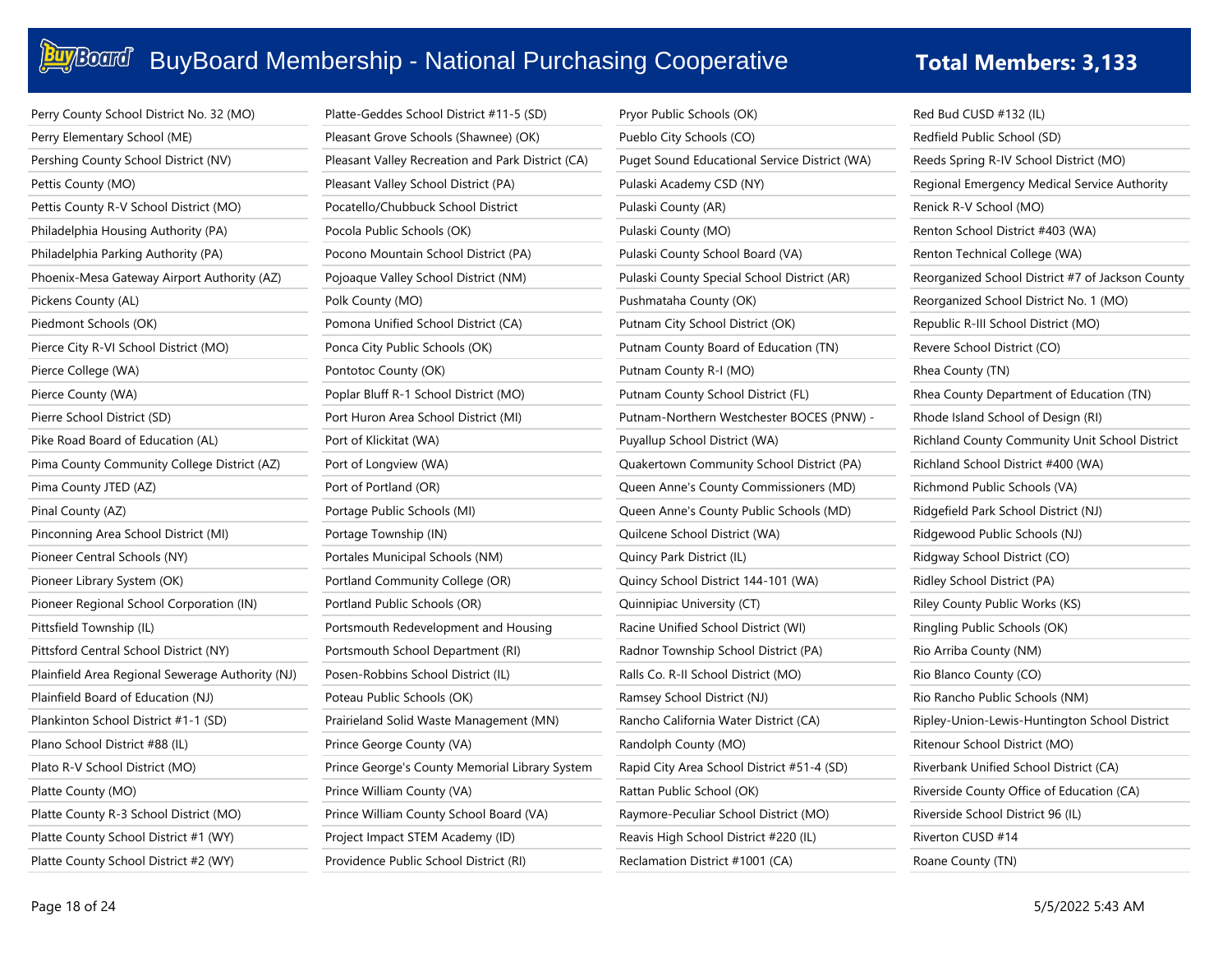| Perry County School District No. 32 (MO)         | Platte-Geddes School District #11-5 (SD)          | Pryor Public Schools (OK)                     | Red Bud CUSD #132 (IL)                           |
|--------------------------------------------------|---------------------------------------------------|-----------------------------------------------|--------------------------------------------------|
| Perry Elementary School (ME)                     | Pleasant Grove Schools (Shawnee) (OK)             | Pueblo City Schools (CO)                      | Redfield Public School (SD)                      |
| Pershing County School District (NV)             | Pleasant Valley Recreation and Park District (CA) | Puget Sound Educational Service District (WA) | Reeds Spring R-IV School District (MO)           |
| Pettis County (MO)                               | Pleasant Valley School District (PA)              | Pulaski Academy CSD (NY)                      | Regional Emergency Medical Service Authority     |
| Pettis County R-V School District (MO)           | Pocatello/Chubbuck School District                | Pulaski County (AR)                           | Renick R-V School (MO)                           |
| Philadelphia Housing Authority (PA)              | Pocola Public Schools (OK)                        | Pulaski County (MO)                           | Renton School District #403 (WA)                 |
| Philadelphia Parking Authority (PA)              | Pocono Mountain School District (PA)              | Pulaski County School Board (VA)              | Renton Technical College (WA)                    |
| Phoenix-Mesa Gateway Airport Authority (AZ)      | Pojoaque Valley School District (NM)              | Pulaski County Special School District (AR)   | Reorganized School District #7 of Jackson County |
| Pickens County (AL)                              | Polk County (MO)                                  | Pushmataha County (OK)                        | Reorganized School District No. 1 (MO)           |
| Piedmont Schools (OK)                            | Pomona Unified School District (CA)               | Putnam City School District (OK)              | Republic R-III School District (MO)              |
| Pierce City R-VI School District (MO)            | Ponca City Public Schools (OK)                    | Putnam County Board of Education (TN)         | Revere School District (CO)                      |
| Pierce College (WA)                              | Pontotoc County (OK)                              | Putnam County R-I (MO)                        | Rhea County (TN)                                 |
| Pierce County (WA)                               | Poplar Bluff R-1 School District (MO)             | Putnam County School District (FL)            | Rhea County Department of Education (TN)         |
| Pierre School District (SD)                      | Port Huron Area School District (MI)              | Putnam-Northern Westchester BOCES (PNW) -     | Rhode Island School of Design (RI)               |
| Pike Road Board of Education (AL)                | Port of Klickitat (WA)                            | Puyallup School District (WA)                 | Richland County Community Unit School District   |
| Pima County Community College District (AZ)      | Port of Longview (WA)                             | Quakertown Community School District (PA)     | Richland School District #400 (WA)               |
| Pima County JTED (AZ)                            | Port of Portland (OR)                             | Queen Anne's County Commissioners (MD)        | Richmond Public Schools (VA)                     |
| Pinal County (AZ)                                | Portage Public Schools (MI)                       | Queen Anne's County Public Schools (MD)       | Ridgefield Park School District (NJ)             |
| Pinconning Area School District (MI)             | Portage Township (IN)                             | Quilcene School District (WA)                 | Ridgewood Public Schools (NJ)                    |
| Pioneer Central Schools (NY)                     | Portales Municipal Schools (NM)                   | Quincy Park District (IL)                     | Ridgway School District (CO)                     |
| Pioneer Library System (OK)                      | Portland Community College (OR)                   | Quincy School District 144-101 (WA)           | Ridley School District (PA)                      |
| Pioneer Regional School Corporation (IN)         | Portland Public Schools (OR)                      | Quinnipiac University (CT)                    | Riley County Public Works (KS)                   |
| Pittsfield Township (IL)                         | Portsmouth Redevelopment and Housing              | Racine Unified School District (WI)           | Ringling Public Schools (OK)                     |
| Pittsford Central School District (NY)           | Portsmouth School Department (RI)                 | Radnor Township School District (PA)          | Rio Arriba County (NM)                           |
| Plainfield Area Regional Sewerage Authority (NJ) | Posen-Robbins School District (IL)                | Ralls Co. R-II School District (MO)           | Rio Blanco County (CO)                           |
| Plainfield Board of Education (NJ)               | Poteau Public Schools (OK)                        | Ramsey School District (NJ)                   | Rio Rancho Public Schools (NM)                   |
| Plankinton School District #1-1 (SD)             | Prairieland Solid Waste Management (MN)           | Rancho California Water District (CA)         | Ripley-Union-Lewis-Huntington School District    |
| Plano School District #88 (IL)                   | Prince George County (VA)                         | Randolph County (MO)                          | Ritenour School District (MO)                    |
| Plato R-V School District (MO)                   | Prince George's County Memorial Library System    | Rapid City Area School District #51-4 (SD)    | Riverbank Unified School District (CA)           |
| Platte County (MO)                               | Prince William County (VA)                        | Rattan Public School (OK)                     | Riverside County Office of Education (CA)        |
| Platte County R-3 School District (MO)           | Prince William County School Board (VA)           | Raymore-Peculiar School District (MO)         | Riverside School District 96 (IL)                |
| Platte County School District #1 (WY)            | Project Impact STEM Academy (ID)                  | Reavis High School District #220 (IL)         | Riverton CUSD #14                                |
| Platte County School District #2 (WY)            | Providence Public School District (RI)            | Reclamation District #1001 (CA)               | Roane County (TN)                                |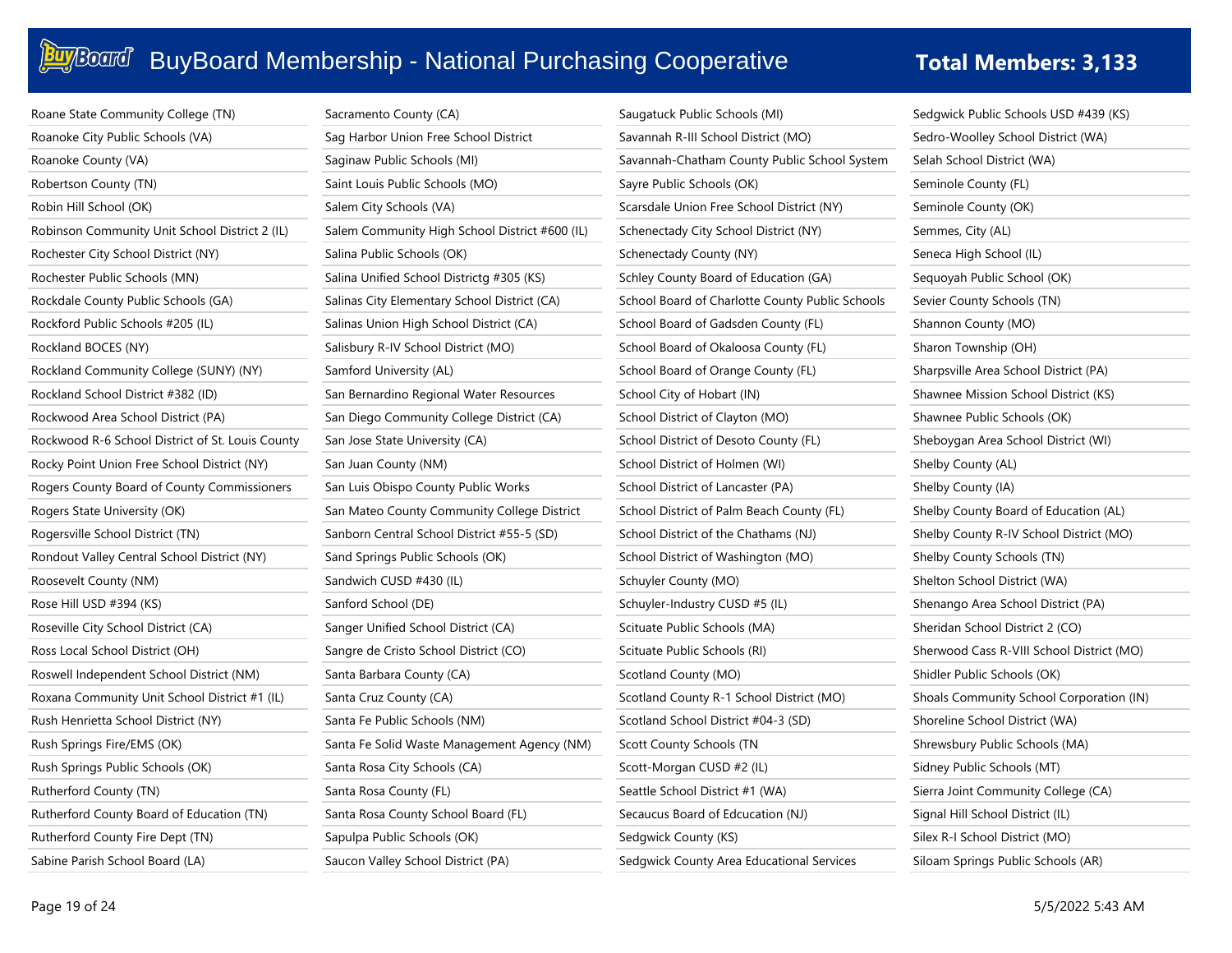| Roane State Community College (TN)               | Sacra  |
|--------------------------------------------------|--------|
| Roanoke City Public Schools (VA)                 | Sag F  |
| Roanoke County (VA)                              | Sagir  |
| Robertson County (TN)                            | Saint  |
| Robin Hill School (OK)                           | Salen  |
| Robinson Community Unit School District 2 (IL)   | Salen  |
| Rochester City School District (NY)              | Salina |
| Rochester Public Schools (MN)                    | Salina |
| Rockdale County Public Schools (GA)              | Salina |
| Rockford Public Schools #205 (IL)                | Salina |
| Rockland BOCES (NY)                              | Salisk |
| Rockland Community College (SUNY) (NY)           | Samf   |
| Rockland School District #382 (ID)               | San E  |
| Rockwood Area School District (PA)               | San D  |
| Rockwood R-6 School District of St. Louis County | San J  |
| Rocky Point Union Free School District (NY)      | San J  |
| Rogers County Board of County Commissioners      | San L  |
| Rogers State University (OK)                     | San N  |
| Rogersville School District (TN)                 | Sanb   |
| Rondout Valley Central School District (NY)      | Sand   |
| Roosevelt County (NM)                            | Sand   |
| Rose Hill USD #394 (KS)                          | Sanfo  |
| Roseville City School District (CA)              | Sang   |
| Ross Local School District (OH)                  | Sang   |
| Roswell Independent School District (NM)         | Santa  |
| Roxana Community Unit School District #1 (IL)    | Santa  |
| Rush Henrietta School District (NY)              | Santa  |
| Rush Springs Fire/EMS (OK)                       | Santa  |
| Rush Springs Public Schools (OK)                 | Santa  |
| Rutherford County (TN)                           | Santa  |
| Rutherford County Board of Education (TN)        | Santa  |
| Rutherford County Fire Dept (TN)                 | Sapu   |
| Sabine Parish School Board (LA)                  | Sauc   |

| Sacramento County (CA)                         |
|------------------------------------------------|
| Sag Harbor Union Free School District          |
| Saginaw Public Schools (MI)                    |
| Saint Louis Public Schools (MO)                |
| Salem City Schools (VA)                        |
| Salem Community High School District #600 (IL) |
| Salina Public Schools (OK)                     |
| Salina Unified School Districtg #305 (KS)      |
| Salinas City Elementary School District (CA)   |
| Salinas Union High School District (CA)        |
| Salisbury R-IV School District (MO)            |
| Samford University (AL)                        |
| San Bernardino Regional Water Resources        |
| San Diego Community College District (CA)      |
| San Jose State University (CA)                 |
| San Juan County (NM)                           |
| San Luis Obispo County Public Works            |
| San Mateo County Community College District    |
| Sanborn Central School District #55-5 (SD)     |
| Sand Springs Public Schools (OK)               |
| Sandwich CUSD #430 (IL)                        |
| Sanford School (DE)                            |
| Sanger Unified School District (CA)            |
| Sangre de Cristo School District (CO)          |
| Santa Barbara County (CA)                      |
| Santa Cruz County (CA)                         |
| Santa Fe Public Schools (NM)                   |
| Santa Fe Solid Waste Management Agency (NM)    |
| Santa Rosa City Schools (CA)                   |
| Santa Rosa County (FL)                         |
| Santa Rosa County School Board (FL)            |
| Sapulpa Public Schools (OK)                    |
| Saucon Valley School District (PA)             |

| Saugatuck Public Schools (MI)                   |
|-------------------------------------------------|
| Savannah R-III School District (MO)             |
| Savannah-Chatham County Public School System    |
| Sayre Public Schools (OK)                       |
| Scarsdale Union Free School District (NY)       |
| Schenectady City School District (NY)           |
| Schenectady County (NY)                         |
| Schley County Board of Education (GA)           |
| School Board of Charlotte County Public Schools |
| School Board of Gadsden County (FL)             |
| School Board of Okaloosa County (FL)            |
| School Board of Orange County (FL)              |
| School City of Hobart (IN)                      |
| School District of Clayton (MO)                 |
| School District of Desoto County (FL)           |
| School District of Holmen (WI)                  |
| School District of Lancaster (PA)               |
| School District of Palm Beach County (FL)       |
| School District of the Chathams (NJ)            |
| School District of Washington (MO)              |
| Schuyler County (MO)                            |
| Schuyler-Industry CUSD #5 (IL)                  |
| Scituate Public Schools (MA)                    |
| Scituate Public Schools (RI)                    |
| Scotland County (MO)                            |
| Scotland County R-1 School District (MO)        |
| Scotland School District #04-3 (SD)             |
| Scott County Schools (TN                        |
| Scott-Morgan CUSD #2 (IL)                       |
| Seattle School District #1 (WA)                 |
| Secaucus Board of Edcucation (NJ)               |
| Sedgwick County (KS)                            |
| Sedgwick County Area Educational Services       |

### Sedgwick Public Schools USD #439 (KS) Sedro-Woolley School District (WA) Selah School District (WA) Seminole County (FL) Seminole County (OK) Semmes, City (AL) Seneca High School (IL) Sequoyah Public School (OK) Sevier County Schools (TN) Shannon County (MO) Sharon Township (OH) Sharpsville Area School District (PA) Shawnee Mission School District (KS) Shawnee Public Schools (OK) Sheboygan Area School District (WI) Shelby County (AL) Shelby County (IA) Shelby County Board of Education (AL) Shelby County R-IV School District (MO) Shelby County Schools (TN) Shelton School District (WA) Shenango Area School District (PA) Sheridan School District 2 (CO) Sherwood Cass R-VIII School District (MO) Shidler Public Schools (OK) Shoals Community School Corporation (IN) Shoreline School District (WA) Shrewsbury Public Schools (MA) Sidney Public Schools (MT) Sierra Joint Community College (CA) Signal Hill School District (IL) Silex R-I School District (MO)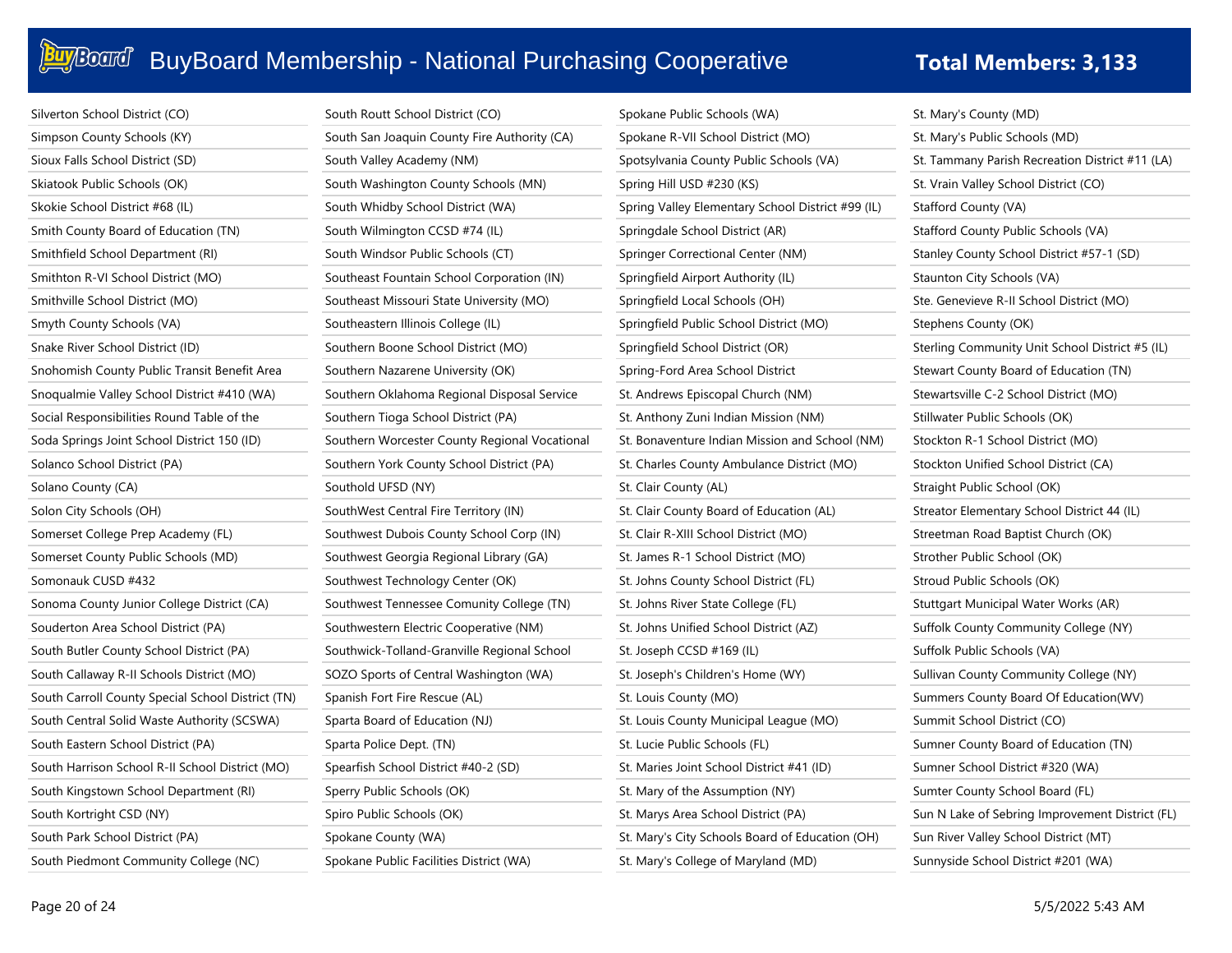| Silverton School District (CO)                    | South Routt School District (CO)              | Spokane Public Schools (WA)                       | St. Mary's County (MD)                          |
|---------------------------------------------------|-----------------------------------------------|---------------------------------------------------|-------------------------------------------------|
| Simpson County Schools (KY)                       | South San Joaquin County Fire Authority (CA)  | Spokane R-VII School District (MO)                | St. Mary's Public Schools (MD)                  |
| Sioux Falls School District (SD)                  | South Valley Academy (NM)                     | Spotsylvania County Public Schools (VA)           | St. Tammany Parish Recreation District #11 (LA) |
| Skiatook Public Schools (OK)                      | South Washington County Schools (MN)          | Spring Hill USD #230 (KS)                         | St. Vrain Valley School District (CO)           |
| Skokie School District #68 (IL)                   | South Whidby School District (WA)             | Spring Valley Elementary School District #99 (IL) | Stafford County (VA)                            |
| Smith County Board of Education (TN)              | South Wilmington CCSD #74 (IL)                | Springdale School District (AR)                   | Stafford County Public Schools (VA)             |
| Smithfield School Department (RI)                 | South Windsor Public Schools (CT)             | Springer Correctional Center (NM)                 | Stanley County School District #57-1 (SD)       |
| Smithton R-VI School District (MO)                | Southeast Fountain School Corporation (IN)    | Springfield Airport Authority (IL)                | Staunton City Schools (VA)                      |
| Smithville School District (MO)                   | Southeast Missouri State University (MO)      | Springfield Local Schools (OH)                    | Ste. Genevieve R-II School District (MO)        |
| Smyth County Schools (VA)                         | Southeastern Illinois College (IL)            | Springfield Public School District (MO)           | Stephens County (OK)                            |
| Snake River School District (ID)                  | Southern Boone School District (MO)           | Springfield School District (OR)                  | Sterling Community Unit School District #5 (IL) |
| Snohomish County Public Transit Benefit Area      | Southern Nazarene University (OK)             | Spring-Ford Area School District                  | Stewart County Board of Education (TN)          |
| Snoqualmie Valley School District #410 (WA)       | Southern Oklahoma Regional Disposal Service   | St. Andrews Episcopal Church (NM)                 | Stewartsville C-2 School District (MO)          |
| Social Responsibilities Round Table of the        | Southern Tioga School District (PA)           | St. Anthony Zuni Indian Mission (NM)              | Stillwater Public Schools (OK)                  |
| Soda Springs Joint School District 150 (ID)       | Southern Worcester County Regional Vocational | St. Bonaventure Indian Mission and School (NM)    | Stockton R-1 School District (MO)               |
| Solanco School District (PA)                      | Southern York County School District (PA)     | St. Charles County Ambulance District (MO)        | Stockton Unified School District (CA)           |
| Solano County (CA)                                | Southold UFSD (NY)                            | St. Clair County (AL)                             | Straight Public School (OK)                     |
| Solon City Schools (OH)                           | SouthWest Central Fire Territory (IN)         | St. Clair County Board of Education (AL)          | Streator Elementary School District 44 (IL)     |
| Somerset College Prep Academy (FL)                | Southwest Dubois County School Corp (IN)      | St. Clair R-XIII School District (MO)             | Streetman Road Baptist Church (OK)              |
| Somerset County Public Schools (MD)               | Southwest Georgia Regional Library (GA)       | St. James R-1 School District (MO)                | Strother Public School (OK)                     |
| Somonauk CUSD #432                                | Southwest Technology Center (OK)              | St. Johns County School District (FL)             | Stroud Public Schools (OK)                      |
| Sonoma County Junior College District (CA)        | Southwest Tennessee Comunity College (TN)     | St. Johns River State College (FL)                | Stuttgart Municipal Water Works (AR)            |
| Souderton Area School District (PA)               | Southwestern Electric Cooperative (NM)        | St. Johns Unified School District (AZ)            | Suffolk County Community College (NY)           |
| South Butler County School District (PA)          | Southwick-Tolland-Granville Regional School   | St. Joseph CCSD #169 (IL)                         | Suffolk Public Schools (VA)                     |
| South Callaway R-II Schools District (MO)         | SOZO Sports of Central Washington (WA)        | St. Joseph's Children's Home (WY)                 | Sullivan County Community College (NY)          |
| South Carroll County Special School District (TN) | Spanish Fort Fire Rescue (AL)                 | St. Louis County (MO)                             | Summers County Board Of Education(WV)           |
| South Central Solid Waste Authority (SCSWA)       | Sparta Board of Education (NJ)                | St. Louis County Municipal League (MO)            | Summit School District (CO)                     |
| South Eastern School District (PA)                | Sparta Police Dept. (TN)                      | St. Lucie Public Schools (FL)                     | Sumner County Board of Education (TN)           |
| South Harrison School R-II School District (MO)   | Spearfish School District #40-2 (SD)          | St. Maries Joint School District #41 (ID)         | Sumner School District #320 (WA)                |
| South Kingstown School Department (RI)            | Sperry Public Schools (OK)                    | St. Mary of the Assumption (NY)                   | Sumter County School Board (FL)                 |
| South Kortright CSD (NY)                          | Spiro Public Schools (OK)                     | St. Marys Area School District (PA)               | Sun N Lake of Sebring Improvement District (FL) |
| South Park School District (PA)                   | Spokane County (WA)                           | St. Mary's City Schools Board of Education (OH)   | Sun River Valley School District (MT)           |
| South Piedmont Community College (NC)             | Spokane Public Facilities District (WA)       | St. Mary's College of Maryland (MD)               | Sunnyside School District #201 (WA)             |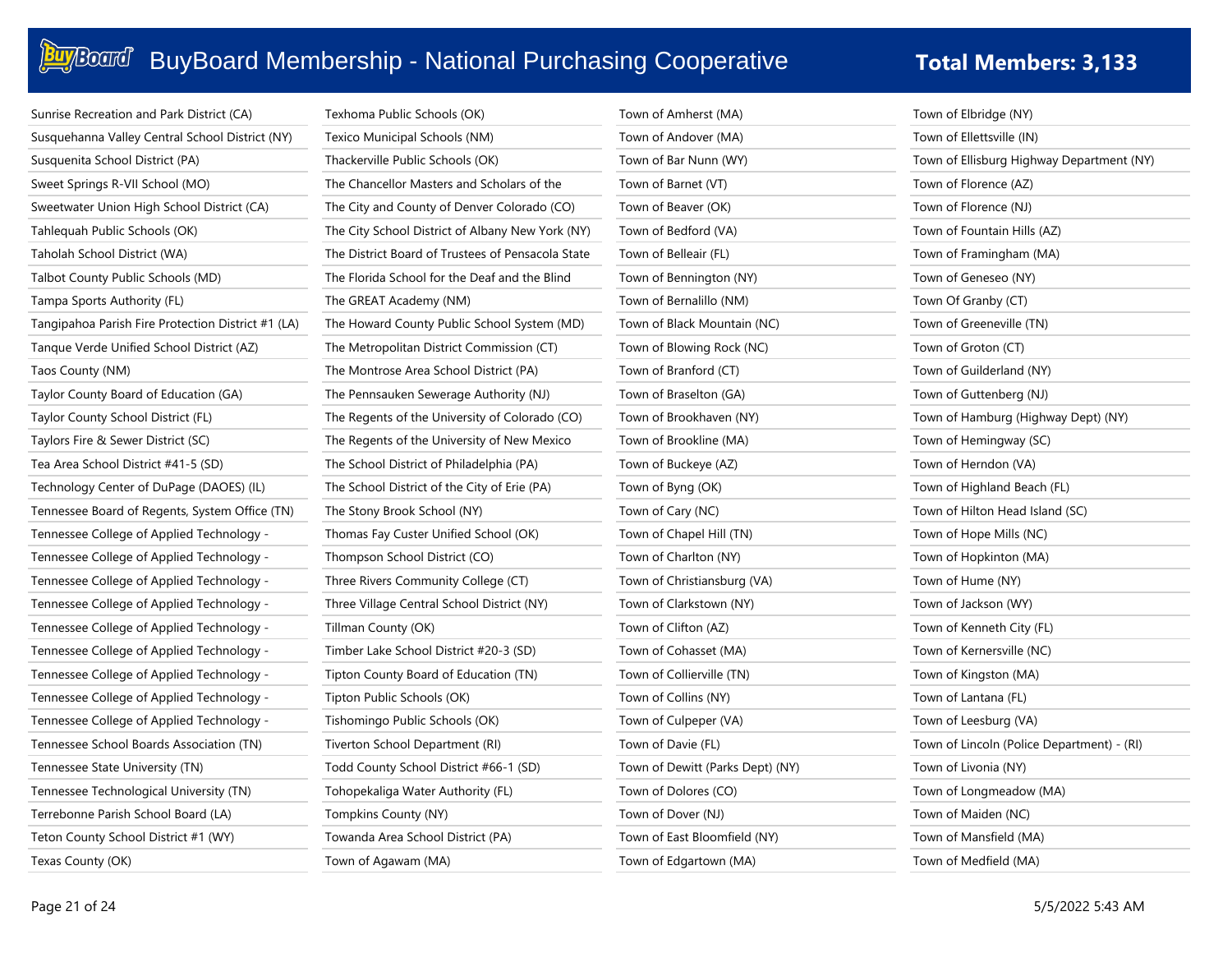| Sunrise Recreation and Park District (CA)          | Texhoma Public Schools (OK)                       | Town of Amherst (MA)             | Town of Elbridge (NY)                      |
|----------------------------------------------------|---------------------------------------------------|----------------------------------|--------------------------------------------|
| Susquehanna Valley Central School District (NY)    | Texico Municipal Schools (NM)                     | Town of Andover (MA)             | Town of Ellettsville (IN)                  |
| Susquenita School District (PA)                    | Thackerville Public Schools (OK)                  | Town of Bar Nunn (WY)            | Town of Ellisburg Highway Department (NY)  |
| Sweet Springs R-VII School (MO)                    | The Chancellor Masters and Scholars of the        | Town of Barnet (VT)              | Town of Florence (AZ)                      |
| Sweetwater Union High School District (CA)         | The City and County of Denver Colorado (CO)       | Town of Beaver (OK)              | Town of Florence (NJ)                      |
| Tahlequah Public Schools (OK)                      | The City School District of Albany New York (NY)  | Town of Bedford (VA)             | Town of Fountain Hills (AZ)                |
| Taholah School District (WA)                       | The District Board of Trustees of Pensacola State | Town of Belleair (FL)            | Town of Framingham (MA)                    |
| Talbot County Public Schools (MD)                  | The Florida School for the Deaf and the Blind     | Town of Bennington (NY)          | Town of Geneseo (NY)                       |
| Tampa Sports Authority (FL)                        | The GREAT Academy (NM)                            | Town of Bernalillo (NM)          | Town Of Granby (CT)                        |
| Tangipahoa Parish Fire Protection District #1 (LA) | The Howard County Public School System (MD)       | Town of Black Mountain (NC)      | Town of Greeneville (TN)                   |
| Tanque Verde Unified School District (AZ)          | The Metropolitan District Commission (CT)         | Town of Blowing Rock (NC)        | Town of Groton (CT)                        |
| Taos County (NM)                                   | The Montrose Area School District (PA)            | Town of Branford (CT)            | Town of Guilderland (NY)                   |
| Taylor County Board of Education (GA)              | The Pennsauken Sewerage Authority (NJ)            | Town of Braselton (GA)           | Town of Guttenberg (NJ)                    |
| Taylor County School District (FL)                 | The Regents of the University of Colorado (CO)    | Town of Brookhaven (NY)          | Town of Hamburg (Highway Dept) (NY)        |
| Taylors Fire & Sewer District (SC)                 | The Regents of the University of New Mexico       | Town of Brookline (MA)           | Town of Hemingway (SC)                     |
| Tea Area School District #41-5 (SD)                | The School District of Philadelphia (PA)          | Town of Buckeye (AZ)             | Town of Herndon (VA)                       |
| Technology Center of DuPage (DAOES) (IL)           | The School District of the City of Erie (PA)      | Town of Byng (OK)                | Town of Highland Beach (FL)                |
| Tennessee Board of Regents, System Office (TN)     | The Stony Brook School (NY)                       | Town of Cary (NC)                | Town of Hilton Head Island (SC)            |
| Tennessee College of Applied Technology -          | Thomas Fay Custer Unified School (OK)             | Town of Chapel Hill (TN)         | Town of Hope Mills (NC)                    |
| Tennessee College of Applied Technology -          | Thompson School District (CO)                     | Town of Charlton (NY)            | Town of Hopkinton (MA)                     |
| Tennessee College of Applied Technology -          | Three Rivers Community College (CT)               | Town of Christiansburg (VA)      | Town of Hume (NY)                          |
| Tennessee College of Applied Technology -          | Three Village Central School District (NY)        | Town of Clarkstown (NY)          | Town of Jackson (WY)                       |
| Tennessee College of Applied Technology -          | Tillman County (OK)                               | Town of Clifton (AZ)             | Town of Kenneth City (FL)                  |
| Tennessee College of Applied Technology -          | Timber Lake School District #20-3 (SD)            | Town of Cohasset (MA)            | Town of Kernersville (NC)                  |
| Tennessee College of Applied Technology -          | Tipton County Board of Education (TN)             | Town of Collierville (TN)        | Town of Kingston (MA)                      |
| Tennessee College of Applied Technology -          | Tipton Public Schools (OK)                        | Town of Collins (NY)             | Town of Lantana (FL)                       |
| Tennessee College of Applied Technology -          | Tishomingo Public Schools (OK)                    | Town of Culpeper (VA)            | Town of Leesburg (VA)                      |
| Tennessee School Boards Association (TN)           | Tiverton School Department (RI)                   | Town of Davie (FL)               | Town of Lincoln (Police Department) - (RI) |
| Tennessee State University (TN)                    | Todd County School District #66-1 (SD)            | Town of Dewitt (Parks Dept) (NY) | Town of Livonia (NY)                       |
| Tennessee Technological University (TN)            | Tohopekaliga Water Authority (FL)                 | Town of Dolores (CO)             | Town of Longmeadow (MA)                    |
| Terrebonne Parish School Board (LA)                | Tompkins County (NY)                              | Town of Dover (NJ)               | Town of Maiden (NC)                        |
| Teton County School District #1 (WY)               | Towanda Area School District (PA)                 | Town of East Bloomfield (NY)     | Town of Mansfield (MA)                     |
| Texas County (OK)                                  | Town of Agawam (MA)                               | Town of Edgartown (MA)           | Town of Medfield (MA)                      |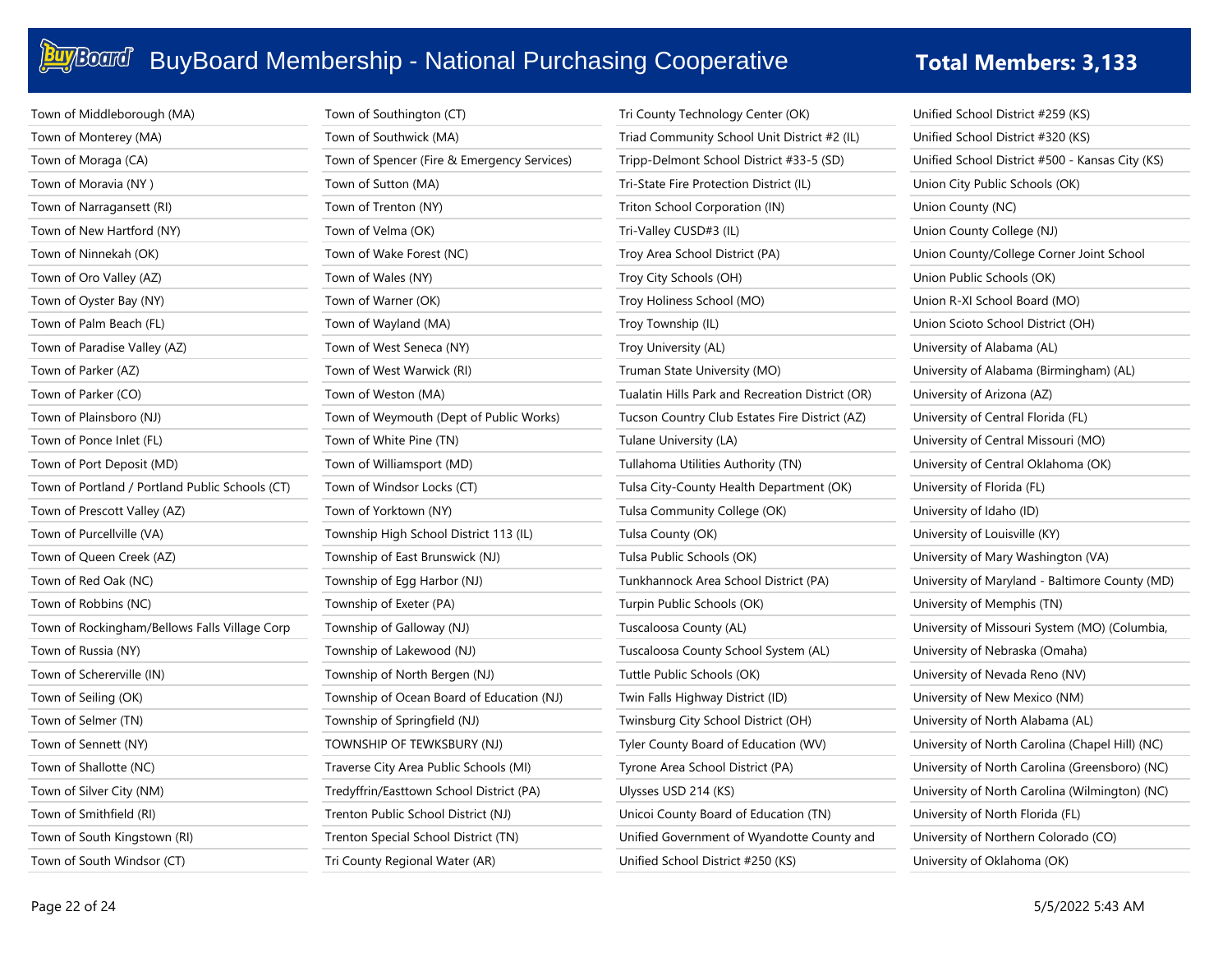| Town of Middleborough (MA)                      | Town of Southington (CT)                    | Tri County Technology Center (OK)                | Unified School District #259 (KS)               |
|-------------------------------------------------|---------------------------------------------|--------------------------------------------------|-------------------------------------------------|
| Town of Monterey (MA)                           | Town of Southwick (MA)                      | Triad Community School Unit District #2 (IL)     | Unified School District #320 (KS)               |
| Town of Moraga (CA)                             | Town of Spencer (Fire & Emergency Services) | Tripp-Delmont School District #33-5 (SD)         | Unified School District #500 - Kansas City (KS) |
| Town of Moravia (NY)                            | Town of Sutton (MA)                         | Tri-State Fire Protection District (IL)          | Union City Public Schools (OK)                  |
| Town of Narragansett (RI)                       | Town of Trenton (NY)                        | Triton School Corporation (IN)                   | Union County (NC)                               |
| Town of New Hartford (NY)                       | Town of Velma (OK)                          | Tri-Valley CUSD#3 (IL)                           | Union County College (NJ)                       |
| Town of Ninnekah (OK)                           | Town of Wake Forest (NC)                    | Troy Area School District (PA)                   | Union County/College Corner Joint School        |
| Town of Oro Valley (AZ)                         | Town of Wales (NY)                          | Troy City Schools (OH)                           | Union Public Schools (OK)                       |
| Town of Oyster Bay (NY)                         | Town of Warner (OK)                         | Troy Holiness School (MO)                        | Union R-XI School Board (MO)                    |
| Town of Palm Beach (FL)                         | Town of Wayland (MA)                        | Troy Township (IL)                               | Union Scioto School District (OH)               |
| Town of Paradise Valley (AZ)                    | Town of West Seneca (NY)                    | Troy University (AL)                             | University of Alabama (AL)                      |
| Town of Parker (AZ)                             | Town of West Warwick (RI)                   | Truman State University (MO)                     | University of Alabama (Birmingham) (AL)         |
| Town of Parker (CO)                             | Town of Weston (MA)                         | Tualatin Hills Park and Recreation District (OR) | University of Arizona (AZ)                      |
| Town of Plainsboro (NJ)                         | Town of Weymouth (Dept of Public Works)     | Tucson Country Club Estates Fire District (AZ)   | University of Central Florida (FL)              |
| Town of Ponce Inlet (FL)                        | Town of White Pine (TN)                     | Tulane University (LA)                           | University of Central Missouri (MO)             |
| Town of Port Deposit (MD)                       | Town of Williamsport (MD)                   | Tullahoma Utilities Authority (TN)               | University of Central Oklahoma (OK)             |
| Town of Portland / Portland Public Schools (CT) | Town of Windsor Locks (CT)                  | Tulsa City-County Health Department (OK)         | University of Florida (FL)                      |
| Town of Prescott Valley (AZ)                    | Town of Yorktown (NY)                       | Tulsa Community College (OK)                     | University of Idaho (ID)                        |
| Town of Purcellville (VA)                       | Township High School District 113 (IL)      | Tulsa County (OK)                                | University of Louisville (KY)                   |
| Town of Queen Creek (AZ)                        | Township of East Brunswick (NJ)             | Tulsa Public Schools (OK)                        | University of Mary Washington (VA)              |
| Town of Red Oak (NC)                            | Township of Egg Harbor (NJ)                 | Tunkhannock Area School District (PA)            | University of Maryland - Baltimore County (MD)  |
| Town of Robbins (NC)                            | Township of Exeter (PA)                     | Turpin Public Schools (OK)                       | University of Memphis (TN)                      |
| Town of Rockingham/Bellows Falls Village Corp   | Township of Galloway (NJ)                   | Tuscaloosa County (AL)                           | University of Missouri System (MO) (Columbia,   |
| Town of Russia (NY)                             | Township of Lakewood (NJ)                   | Tuscaloosa County School System (AL)             | University of Nebraska (Omaha)                  |
| Town of Schererville (IN)                       | Township of North Bergen (NJ)               | Tuttle Public Schools (OK)                       | University of Nevada Reno (NV)                  |
| Town of Seiling (OK)                            | Township of Ocean Board of Education (NJ)   | Twin Falls Highway District (ID)                 | University of New Mexico (NM)                   |
| Town of Selmer (TN)                             | Township of Springfield (NJ)                | Twinsburg City School District (OH)              | University of North Alabama (AL)                |
| Town of Sennett (NY)                            | TOWNSHIP OF TEWKSBURY (NJ)                  | Tyler County Board of Education (WV)             | University of North Carolina (Chapel Hill) (NC) |
| Town of Shallotte (NC)                          | Traverse City Area Public Schools (MI)      | Tyrone Area School District (PA)                 | University of North Carolina (Greensboro) (NC)  |
| Town of Silver City (NM)                        | Tredyffrin/Easttown School District (PA)    | Ulysses USD 214 (KS)                             | University of North Carolina (Wilmington) (NC)  |
| Town of Smithfield (RI)                         | Trenton Public School District (NJ)         | Unicoi County Board of Education (TN)            | University of North Florida (FL)                |
| Town of South Kingstown (RI)                    | Trenton Special School District (TN)        | Unified Government of Wyandotte County and       | University of Northern Colorado (CO)            |
| Town of South Windsor (CT)                      | Tri County Regional Water (AR)              | Unified School District #250 (KS)                | University of Oklahoma (OK)                     |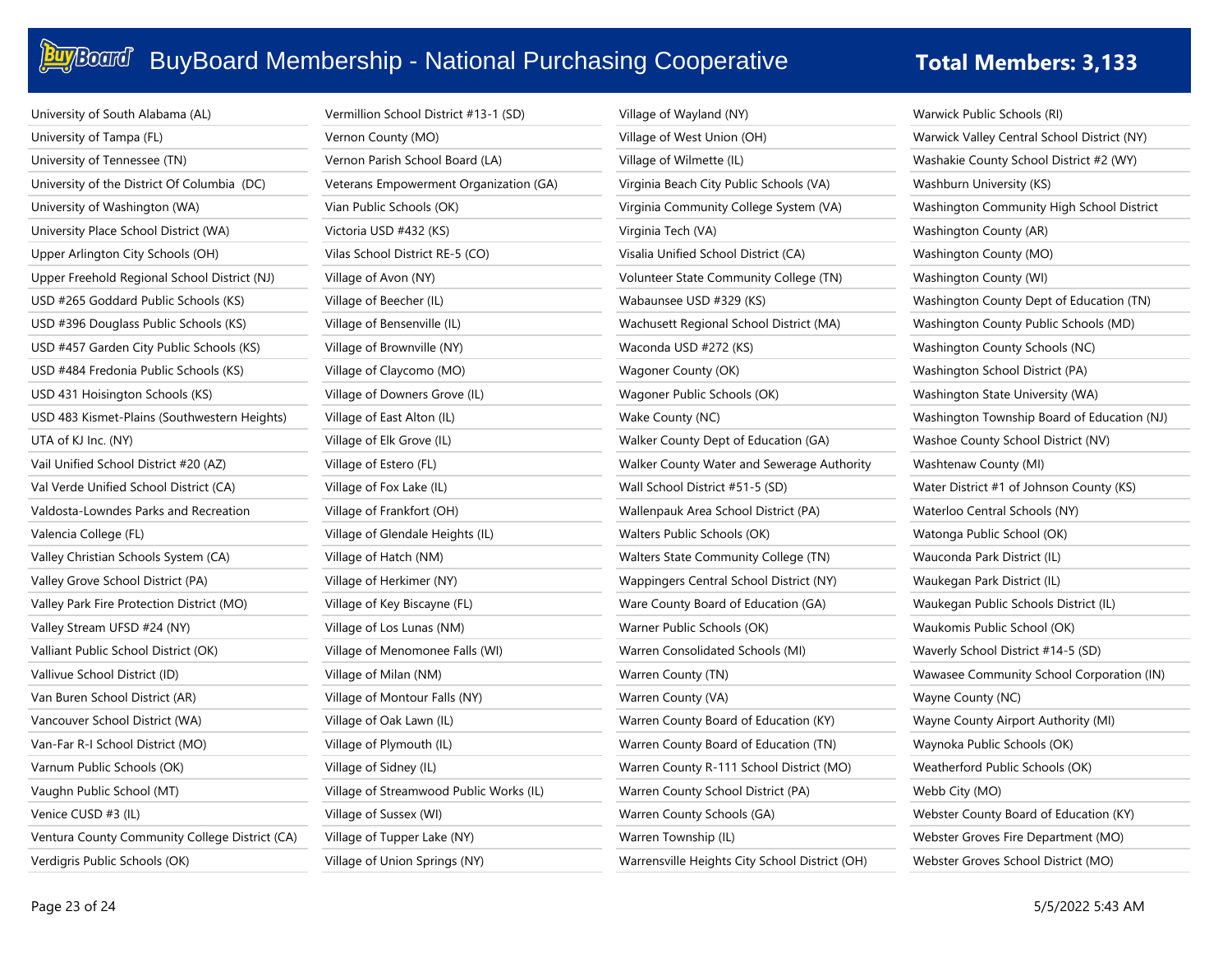| University of South Alabama (AL)               | Vermillion School District #13-1 (SD)   | Village of Wayland (NY)                        | Warw              |
|------------------------------------------------|-----------------------------------------|------------------------------------------------|-------------------|
| University of Tampa (FL)                       | Vernon County (MO)                      | Village of West Union (OH)                     | Warw              |
| University of Tennessee (TN)                   | Vernon Parish School Board (LA)         | Village of Wilmette (IL)                       | Wash              |
| University of the District Of Columbia (DC)    | Veterans Empowerment Organization (GA)  | Virginia Beach City Public Schools (VA)        | Wash              |
| University of Washington (WA)                  | Vian Public Schools (OK)                | Virginia Community College System (VA)         | Washi             |
| University Place School District (WA)          | Victoria USD #432 (KS)                  | Virginia Tech (VA)                             | Washi             |
| Upper Arlington City Schools (OH)              | Vilas School District RE-5 (CO)         | Visalia Unified School District (CA)           | Washi             |
| Upper Freehold Regional School District (NJ)   | Village of Avon (NY)                    | Volunteer State Community College (TN)         | Washi             |
| USD #265 Goddard Public Schools (KS)           | Village of Beecher (IL)                 | Wabaunsee USD #329 (KS)                        | Washi             |
| USD #396 Douglass Public Schools (KS)          | Village of Bensenville (IL)             | Wachusett Regional School District (MA)        | Washi             |
| USD #457 Garden City Public Schools (KS)       | Village of Brownville (NY)              | Waconda USD #272 (KS)                          | Washi             |
| USD #484 Fredonia Public Schools (KS)          | Village of Claycomo (MO)                | Wagoner County (OK)                            | Washi             |
| USD 431 Hoisington Schools (KS)                | Village of Downers Grove (IL)           | Wagoner Public Schools (OK)                    | Washi             |
| USD 483 Kismet-Plains (Southwestern Heights)   | Village of East Alton (IL)              | Wake County (NC)                               | Washi             |
| UTA of KJ Inc. (NY)                            | Village of Elk Grove (IL)               | Walker County Dept of Education (GA)           | Wash              |
| Vail Unified School District #20 (AZ)          | Village of Estero (FL)                  | Walker County Water and Sewerage Authority     | Wash <sup>®</sup> |
| Val Verde Unified School District (CA)         | Village of Fox Lake (IL)                | Wall School District #51-5 (SD)                | Water             |
| Valdosta-Lowndes Parks and Recreation          | Village of Frankfort (OH)               | Wallenpauk Area School District (PA)           | Water             |
| Valencia College (FL)                          | Village of Glendale Heights (IL)        | Walters Public Schools (OK)                    | Wator             |
| Valley Christian Schools System (CA)           | Village of Hatch (NM)                   | Walters State Community College (TN)           | Wauc              |
| Valley Grove School District (PA)              | Village of Herkimer (NY)                | Wappingers Central School District (NY)        | Wauk              |
| Valley Park Fire Protection District (MO)      | Village of Key Biscayne (FL)            | Ware County Board of Education (GA)            | Wauk              |
| Valley Stream UFSD #24 (NY)                    | Village of Los Lunas (NM)               | Warner Public Schools (OK)                     | Wauk              |
| Valliant Public School District (OK)           | Village of Menomonee Falls (WI)         | Warren Consolidated Schools (MI)               | Waver             |
| Vallivue School District (ID)                  | Village of Milan (NM)                   | Warren County (TN)                             | Wawa              |
| Van Buren School District (AR)                 | Village of Montour Falls (NY)           | Warren County (VA)                             | Wayn              |
| Vancouver School District (WA)                 | Village of Oak Lawn (IL)                | Warren County Board of Education (KY)          | Wayn              |
| Van-Far R-I School District (MO)               | Village of Plymouth (IL)                | Warren County Board of Education (TN)          | Wayn              |
| Varnum Public Schools (OK)                     | Village of Sidney (IL)                  | Warren County R-111 School District (MO)       | Weath             |
| Vaughn Public School (MT)                      | Village of Streamwood Public Works (IL) | Warren County School District (PA)             | Webb              |
| Venice CUSD #3 (IL)                            | Village of Sussex (WI)                  | Warren County Schools (GA)                     | Webs <sup>®</sup> |
| Ventura County Community College District (CA) | Village of Tupper Lake (NY)             | Warren Township (IL)                           | <b>Webs</b>       |
| Verdigris Public Schools (OK)                  | Village of Union Springs (NY)           | Warrensville Heights City School District (OH) | Webs <sup>®</sup> |

ick Public Schools (RI) vick Valley Central School District (NY) akie County School District #2 (WY) burn University (KS) ington Community High School District ington County (AR) ington County (MO) ington County (WI) ington County Dept of Education (TN) ington County Public Schools (MD) ington County Schools (NC) ington School District (PA) ington State University (WA) ington Township Board of Education (NJ) oe County School District (NV) tenaw County (MI) District #1 of Johnson County (KS) rloo Central Schools (NY) nga Public School (OK) onda Park District (IL) egan Park District (IL) egan Public Schools District (IL) omis Public School (OK) rly School District #14-5 (SD) asee Community School Corporation (IN) e County (NC) e County Airport Authority (MI) oka Public Schools (OK) herford Public Schools (OK) City (MO) ter County Board of Education (KY) ter Groves Fire Department (MO) ter Groves School District (MO)